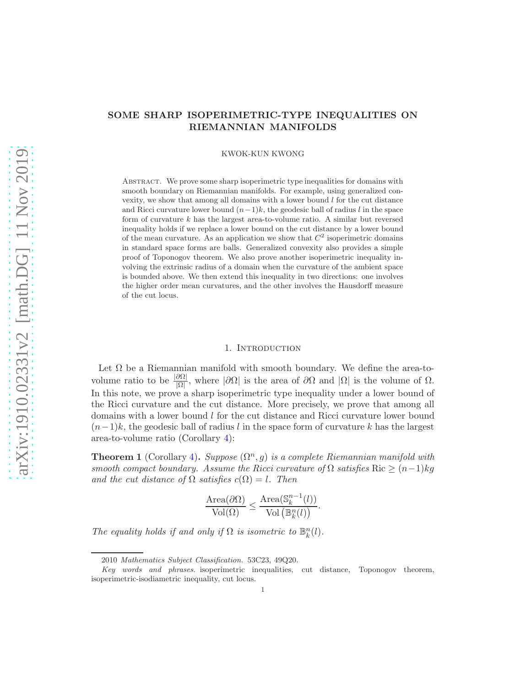# SOME SHARP ISOPERIMETRIC-TYPE INEQUALITIES ON RIEMANNIAN MANIFOLDS

KWOK-KUN KWONG

Abstract. We prove some sharp isoperimetric type inequalities for domains with smooth boundary on Riemannian manifolds. For example, using generalized convexity, we show that among all domains with a lower bound  $l$  for the cut distance and Ricci curvature lower bound  $(n-1)k$ , the geodesic ball of radius l in the space form of curvature  $k$  has the largest area-to-volume ratio. A similar but reversed inequality holds if we replace a lower bound on the cut distance by a lower bound of the mean curvature. As an application we show that  $C<sup>2</sup>$  isoperimetric domains in standard space forms are balls. Generalized convexity also provides a simple proof of Toponogov theorem. We also prove another isoperimetric inequality involving the extrinsic radius of a domain when the curvature of the ambient space is bounded above. We then extend this inequality in two directions: one involves the higher order mean curvatures, and the other involves the Hausdorff measure of the cut locus.

# 1. INTRODUCTION

Let  $\Omega$  be a Riemannian manifold with smooth boundary. We define the area-tovolume ratio to be  $\frac{|\partial\Omega|}{|\Omega|}$ , where  $|\partial\Omega|$  is the area of  $\partial\Omega$  and  $|\Omega|$  is the volume of  $\Omega$ . In this note, we prove a sharp isoperimetric type inequality under a lower bound of the Ricci curvature and the cut distance. More precisely, we prove that among all domains with a lower bound l for the cut distance and Ricci curvature lower bound  $(n-1)k$ , the geodesic ball of radius l in the space form of curvature k has the largest area-to-volume ratio (Corollary [4\)](#page-11-0):

<span id="page-0-0"></span>**Theorem 1** (Corollary [4\)](#page-11-0). Suppose  $(\Omega^n, g)$  is a complete Riemannian manifold with smooth compact boundary. Assume the Ricci curvature of  $\Omega$  satisfies Ric  $\geq (n-1)kq$ and the cut distance of  $\Omega$  satisfies  $c(\Omega) = l$ . Then

$$
\frac{\text{Area}(\partial \Omega)}{\text{Vol}(\Omega)} \le \frac{\text{Area}(\mathbb{S}_k^{n-1}(l))}{\text{Vol}(\mathbb{B}_k^n(l))}.
$$

The equality holds if and only if  $\Omega$  is isometric to  $\mathbb{B}^n_k(l)$ .

<sup>2010</sup> Mathematics Subject Classification. 53C23, 49Q20.

Key words and phrases. isoperimetric inequalities, cut distance, Toponogov theorem, isoperimetric-isodiametric inequality, cut locus.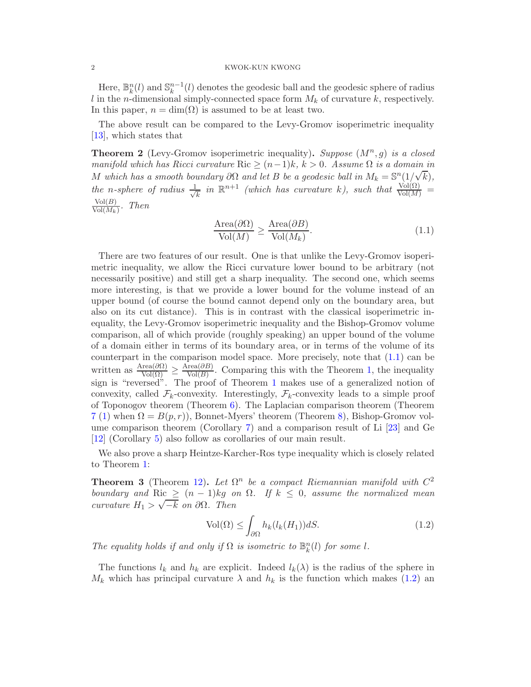Here,  $\mathbb{B}_k^n(l)$  and  $\mathbb{S}_k^{n-1}(l)$  denotes the geodesic ball and the geodesic sphere of radius l in the *n*-dimensional simply-connected space form  $M_k$  of curvature k, respectively. In this paper,  $n = \dim(\Omega)$  is assumed to be at least two.

The above result can be compared to the Levy-Gromov isoperimetric inequality [\[13\]](#page-24-0), which states that

**Theorem 2** (Levy-Gromov isoperimetric inequality). Suppose  $(M^n, g)$  is a closed manifold which has Ricci curvature Ric  $\geq (n-1)k$ ,  $k > 0$ . Assume  $\Omega$  is a domain in M which has a smooth boundary  $\partial\Omega$  and let B be a geodesic ball in  $M_k = \mathbb{S}^n(1/\sqrt{k}),$ the n-sphere of radius  $\frac{1}{\sqrt{2}}$  $\frac{1}{k}$  in  $\mathbb{R}^{n+1}$  (which has curvature k), such that  $\frac{\text{Vol}(\Omega)}{\text{Vol}(M)}$  =  $Vol(B)$  $\frac{\text{vol}(B)}{\text{Vol}(M_k)}$ . Then

<span id="page-1-0"></span>
$$
\frac{\text{Area}(\partial \Omega)}{\text{Vol}(M)} \ge \frac{\text{Area}(\partial B)}{\text{Vol}(M_k)}.\tag{1.1}
$$

There are two features of our result. One is that unlike the Levy-Gromov isoperimetric inequality, we allow the Ricci curvature lower bound to be arbitrary (not necessarily positive) and still get a sharp inequality. The second one, which seems more interesting, is that we provide a lower bound for the volume instead of an upper bound (of course the bound cannot depend only on the boundary area, but also on its cut distance). This is in contrast with the classical isoperimetric inequality, the Levy-Gromov isoperimetric inequality and the Bishop-Gromov volume comparison, all of which provide (roughly speaking) an upper bound of the volume of a domain either in terms of its boundary area, or in terms of the volume of its counterpart in the comparison model space. More precisely, note that [\(1.1\)](#page-1-0) can be written as  $\frac{\text{Area}(\partial \Omega)}{\text{Vol}(\Omega)} \geq \frac{\text{Area}(\partial B)}{\text{Vol}(B)}$  $\frac{\text{real}(DB)}{\text{Vol}(B)}$ . Comparing this with the Theorem [1,](#page-0-0) the inequality sign is "reversed". The proof of Theorem [1](#page-0-0) makes use of a generalized notion of convexity, called  $\mathcal{F}_k$ -convexity. Interestingly,  $\mathcal{F}_k$ -convexity leads to a simple proof of Toponogov theorem (Theorem  $6$ ). The Laplacian comparison theorem (Theorem  $7(1)$  $7(1)$  when  $\Omega = B(p,r)$ , Bonnet-Myers' theorem (Theorem [8\)](#page-11-1), Bishop-Gromov volume comparison theorem (Corollary [7\)](#page-13-0) and a comparison result of Li [\[23\]](#page-24-1) and Ge [\[12\]](#page-24-2) (Corollary [5\)](#page-12-0) also follow as corollaries of our main result.

We also prove a sharp Heintze-Karcher-Ros type inequality which is closely related to Theorem [1:](#page-0-0)

<span id="page-1-2"></span>**Theorem 3** (Theorem [12\)](#page-15-0). Let  $\Omega^n$  be a compact Riemannian manifold with  $C^2$ boundary and Ric  $\geq (n-1)kg$  on  $\Omega$ . If  $k \leq 0$ , assume the normalized mean curvature  $H_1 > \sqrt{-k}$  on  $\partial \Omega$ . Then

<span id="page-1-1"></span>
$$
\text{Vol}(\Omega) \le \int_{\partial \Omega} h_k(l_k(H_1)) dS. \tag{1.2}
$$

The equality holds if and only if  $\Omega$  is isometric to  $\mathbb{B}_k^n(l)$  for some l.

The functions  $l_k$  and  $h_k$  are explicit. Indeed  $l_k(\lambda)$  is the radius of the sphere in  $M_k$  which has principal curvature  $\lambda$  and  $h_k$  is the function which makes [\(1.2\)](#page-1-1) an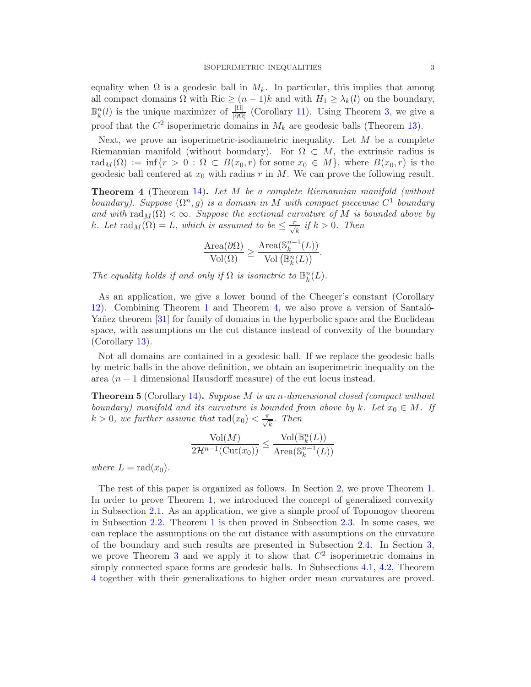equality when  $\Omega$  is a geodesic ball in  $M_k$ . In particular, this implies that among all compact domains  $\Omega$  with Ric  $\geq (n-1)k$  and with  $H_1 \geq \lambda_k(l)$  on the boundary,  $\mathbb{B}_{k}^{n}(l)$  is the unique maximizer of  $\frac{|\Omega|}{|\partial\Omega|}$  (Corollary [11\)](#page-17-0). Using Theorem [3,](#page-1-2) we give a proof that the  $C^2$  isoperimetric domains in  $M_k$  are geodesic balls (Theorem [13\)](#page-17-1).

Next, we prove an isoperimetric-isodiametric inequality. Let  $M$  be a complete Riemannian manifold (without boundary). For  $\Omega \subset M$ , the extrinsic radius is rad<sub>M</sub>( $\Omega$ ) := inf{ $r > 0$ :  $\Omega \subset B(x_0, r)$  for some  $x_0 \in M$ }, where  $B(x_0, r)$  is the geodesic ball centered at  $x_0$  with radius r in M. We can prove the following result.

<span id="page-2-0"></span>Theorem 4 (Theorem [14\)](#page-18-0). Let M be a complete Riemannian manifold (without boundary). Suppose  $(\Omega^n, g)$  is a domain in M with compact piecewise  $C^1$  boundary and with  $\text{rad}_M(\Omega) < \infty$ . Suppose the sectional curvature of M is bounded above by k. Let  $\text{rad}_M(\Omega) = L$ , which is assumed to be  $\leq \frac{\pi}{\sqrt{k}}$  if  $k > 0$ . Then

$$
\frac{\text{Area}(\partial \Omega)}{\text{Vol}(\Omega)} \ge \frac{\text{Area}(\mathbb{S}_k^{n-1}(L))}{\text{Vol}(\mathbb{B}_k^n(L))}.
$$

The equality holds if and only if  $\Omega$  is isometric to  $\mathbb{B}_k^n(L)$ .

As an application, we give a lower bound of the Cheeger's constant (Corollary [12\)](#page-20-0). Combining Theorem [1](#page-0-0) and Theorem [4,](#page-2-0) we also prove a version of Santalo-Yañez theorem [\[31\]](#page-24-3) for family of domains in the hyperbolic space and the Euclidean space, with assumptions on the cut distance instead of convexity of the boundary (Corollary [13\)](#page-20-1).

Not all domains are contained in a geodesic ball. If we replace the geodesic balls by metric balls in the above definition, we obtain an isoperimetric inequality on the area (n − 1 dimensional Hausdorff measure) of the cut locus instead.

<span id="page-2-1"></span>**Theorem 5** (Corollary [14\)](#page-23-0). Suppose M is an *n*-dimensional closed (compact without boundary) manifold and its curvature is bounded from above by k. Let  $x_0 \in M$ . If  $k > 0$ , we further assume that  $\text{rad}(x_0) < \frac{\pi}{\sqrt{k}}$ . Then

$$
\frac{\text{Vol}(M)}{2\mathcal{H}^{n-1}(\text{Cut}(x_0))} \le \frac{\text{Vol}(\mathbb{B}_k^n(L))}{\text{Area}(\mathbb{S}_k^{n-1}(L))}
$$

where  $L = rad(x_0)$ .

The rest of this paper is organized as follows. In Section [2,](#page-3-0) we prove Theorem [1.](#page-0-0) In order to prove Theorem [1,](#page-0-0) we introduced the concept of generalized convexity in Subsection [2.1.](#page-3-1) As an application, we give a simple proof of Toponogov theorem in Subsection [2.2.](#page-5-0) Theorem [1](#page-0-0) is then proved in Subsection [2.3.](#page-6-1) In some cases, we can replace the assumptions on the cut distance with assumptions on the curvature of the boundary and such results are presented in Subsection [2.4.](#page-14-0) In Section [3,](#page-15-1) we prove Theorem [3](#page-1-2) and we apply it to show that  $C^2$  isoperimetric domains in simply connected space forms are geodesic balls. In Subsections [4.1,](#page-18-1) [4.2,](#page-20-2) Theorem [4](#page-2-0) together with their generalizations to higher order mean curvatures are proved.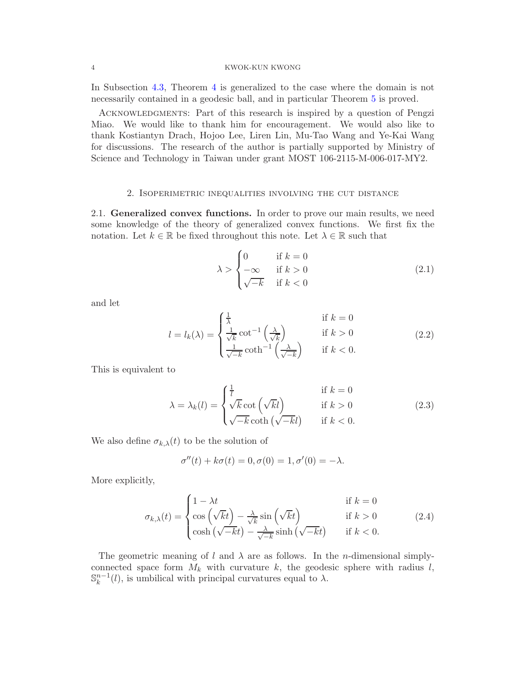In Subsection [4.3,](#page-22-0) Theorem [4](#page-2-0) is generalized to the case where the domain is not necessarily contained in a geodesic ball, and in particular Theorem [5](#page-2-1) is proved.

ACKNOWLEDGMENTS: Part of this research is inspired by a question of Pengzi Miao. We would like to thank him for encouragement. We would also like to thank Kostiantyn Drach, Hojoo Lee, Liren Lin, Mu-Tao Wang and Ye-Kai Wang for discussions. The research of the author is partially supported by Ministry of Science and Technology in Taiwan under grant MOST 106-2115-M-006-017-MY2.

## 2. Isoperimetric inequalities involving the cut distance

<span id="page-3-1"></span><span id="page-3-0"></span>2.1. Generalized convex functions. In order to prove our main results, we need some knowledge of the theory of generalized convex functions. We first fix the notation. Let  $k \in \mathbb{R}$  be fixed throughout this note. Let  $\lambda \in \mathbb{R}$  such that

<span id="page-3-2"></span>
$$
\lambda > \begin{cases} 0 & \text{if } k = 0 \\ -\infty & \text{if } k > 0 \\ \sqrt{-k} & \text{if } k < 0 \end{cases}
$$
 (2.1)

and let

<span id="page-3-3"></span>
$$
l = l_k(\lambda) = \begin{cases} \frac{1}{\lambda} & \text{if } k = 0\\ \frac{1}{\sqrt{k}} \cot^{-1} \left(\frac{\lambda}{\sqrt{k}}\right) & \text{if } k > 0\\ \frac{1}{\sqrt{-k}} \coth^{-1} \left(\frac{\lambda}{\sqrt{-k}}\right) & \text{if } k < 0. \end{cases}
$$
(2.2)

This is equivalent to

<span id="page-3-4"></span>
$$
\lambda = \lambda_k(l) = \begin{cases} \frac{1}{l} & \text{if } k = 0\\ \sqrt{k} \cot\left(\sqrt{k}l\right) & \text{if } k > 0\\ \sqrt{-k} \coth\left(\sqrt{-k}l\right) & \text{if } k < 0. \end{cases}
$$
(2.3)

We also define  $\sigma_{k,\lambda}(t)$  to be the solution of

$$
\sigma''(t) + k\sigma(t) = 0, \sigma(0) = 1, \sigma'(0) = -\lambda.
$$

More explicitly,

<span id="page-3-5"></span>
$$
\sigma_{k,\lambda}(t) = \begin{cases}\n1 - \lambda t & \text{if } k = 0 \\
\cos\left(\sqrt{kt}\right) - \frac{\lambda}{\sqrt{k}}\sin\left(\sqrt{kt}\right) & \text{if } k > 0 \\
\cosh\left(\sqrt{-kt}\right) - \frac{\lambda}{\sqrt{-k}}\sinh\left(\sqrt{-kt}\right) & \text{if } k < 0.\n\end{cases}
$$
\n(2.4)

The geometric meaning of l and  $\lambda$  are as follows. In the n-dimensional simplyconnected space form  $M_k$  with curvature k, the geodesic sphere with radius l,  $\mathbb{S}_{k}^{n-1}(l)$ , is umbilical with principal curvatures equal to  $\lambda$ .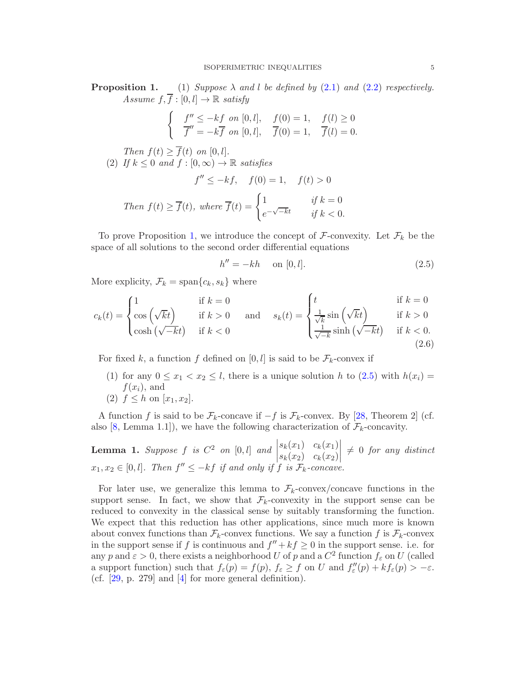**Proposition 1.** (1) Suppose  $\lambda$  and l be defined by [\(2.1\)](#page-3-2) and [\(2.2\)](#page-3-3) respectively. Assume  $f, \overline{f} : [0, l] \rightarrow \mathbb{R}$  satisfy

$$
\begin{cases}\n f'' \leq -kf \text{ on } [0, l], & f(0) = 1, \\
 \overline{f}'' = -k\overline{f} \text{ on } [0, l], & \overline{f}(0) = 1, \\
 f(0) = 1, & \overline{f}(l) = 0.\n\end{cases}
$$

Then  $f(t) \geq f(t)$  on  $[0, l]$ . (2) If  $k \leq 0$  and  $f : [0, \infty) \to \mathbb{R}$  satisfies  $itsfies$ <br> $f(0) = 1$ ,  $f'(t)$ 

$$
f'' \le -kf, \quad f(0) = 1, \quad f(t) > 0
$$
  
Then  $f(t) \ge \overline{f}(t)$ , where  $\overline{f}(t) = \begin{cases} 1 & \text{if } k = 0 \\ e^{-\sqrt{-k}t} & \text{if } k < 0. \end{cases}$ 

To prove Proposition 1, we introduce the concept of  $\mathcal F$ -convexity. Let  $\mathcal F_k$  be the space of all solutions to the second order differential equations

<span id="page-4-0"></span>
$$
h'' = -kh \quad \text{on } [0, l]. \tag{2.5}
$$

More explicity,  $\mathcal{F}_k = \text{span}\{c_k, s_k\}$  where

<span id="page-4-1"></span>
$$
c_k(t) = \begin{cases} 1 & \text{if } k = 0 \\ \cos\left(\sqrt{kt}\right) & \text{if } k > 0 \\ \cosh\left(\sqrt{-k}t\right) & \text{if } k < 0 \end{cases} \quad \text{and} \quad s_k(t) = \begin{cases} t & \text{if } k = 0 \\ \frac{1}{\sqrt{k}} \sin\left(\sqrt{kt}\right) & \text{if } k > 0 \\ \frac{1}{\sqrt{-k}} \sinh\left(\sqrt{-k}t\right) & \text{if } k < 0. \end{cases} \tag{2.6}
$$

For fixed k, a function f defined on  $[0, l]$  is said to be  $\mathcal{F}_k$ -convex if

- (1) for any  $0 \le x_1 < x_2 \le l$ , there is a unique solution h to  $(2.5)$  with  $h(x_i) =$  $f(x_i)$ , and
- (2)  $f < h$  on  $[x_1, x_2]$ .

A function f is said to be  $\mathcal{F}_k$ -concave if  $-f$  is  $\mathcal{F}_k$ -convex. By [\[28,](#page-24-4) Theorem 2] (cf. also [\[8,](#page-23-1) Lemma 1.1]), we have the following characterization of  $\mathcal{F}_k$ -concavity.

**Lemma 1.** Suppose  $f$  is  $C^2$  on  $[0, l]$  and  $\Big|$  $x_1, x_2 \in [0, l]$ . Then  $f'' \leq -kf$  if and only if  $f$  is  $\mathcal{F}_k$ -concave.  $s_k(x_1) \, c_k(x_1)$  $s_k(x_2)$   $c_k(x_2)$  $\begin{array}{c} \begin{array}{c} \begin{array}{c} \begin{array}{c} \end{array} \\ \end{array} \\ \begin{array}{c} \end{array} \end{array} \end{array}$  $\neq 0$  for any distinct

For later use, we generalize this lemma to  $\mathcal{F}_k$ -convex/concave functions in the support sense. In fact, we show that  $\mathcal{F}_k$ -convexity in the support sense can be reduced to convexity in the classical sense by suitably transforming the function. We expect that this reduction has other applications, since much more is known about convex functions than  $\mathcal{F}_k$ -convex functions. We say a function f is  $\mathcal{F}_k$ -convex in the support sense if f is continuous and  $f'' + kf \ge 0$  in the support sense. i.e. for any p and  $\varepsilon > 0$ , there exists a neighborhood U of p and a  $C^2$  function  $f_{\varepsilon}$  on U (called a support function) such that  $f_{\varepsilon}(p) = f(p)$ ,  $f_{\varepsilon} \ge f$  on U and  $f''_{\varepsilon}(p) + kf_{\varepsilon}(p) > -\varepsilon$ . (cf. [\[29,](#page-24-5) p. 279] and [\[4\]](#page-23-2) for more general definition).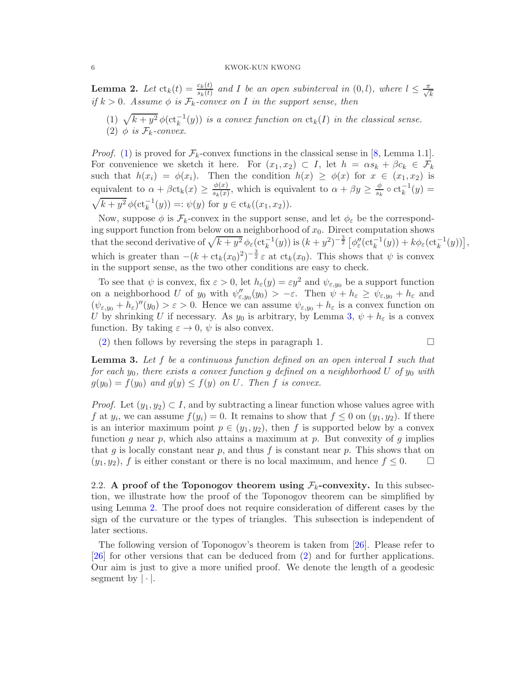<span id="page-5-4"></span>**Lemma 2.** Let  $\text{ct}_k(t) = \frac{c_k(t)}{s_k(t)}$  and I be an open subinterval in  $(0, l)$ , where  $l \leq \frac{\pi}{\sqrt{k}}$ if  $k > 0$ . Assume  $\phi$  is  $\mathcal{F}_k$ -convex on I in the support sense, then

<span id="page-5-3"></span><span id="page-5-1"></span>(1)  $\sqrt{k+y^2} \phi(\mathrm{ct}_k^{-1}(y))$  is a convex function on  $\mathrm{ct}_k(I)$  in the classical sense. (1)  $\sqrt{k} + g \varphi(c_k)$ <br>(2)  $\phi$  is  $\mathcal{F}_k$ -convex.

*Proof.* [\(1\)](#page-5-1) is proved for  $\mathcal{F}_k$ -convex functions in the classical sense in [\[8,](#page-23-1) Lemma 1.1]. For convenience we sketch it here. For  $(x_1, x_2) \subset I$ , let  $h = \alpha s_k + \beta c_k \in \mathcal{F}_k$ such that  $h(x_i) = \phi(x_i)$ . Then the condition  $h(x) \geq \phi(x)$  for  $x \in (x_1, x_2)$  is equivalent to  $\alpha + \beta ct_k(x) \ge \frac{\phi(x)}{s_k(x)}$  $\frac{\phi(x)}{s_k(x)}$ , which is equivalent to  $\alpha + \beta y \ge \frac{\phi}{s_k}$  $\frac{\phi}{s_k} \circ \mathrm{ct}_k^{-1}(y) =$  $\sqrt{k+y^2} \phi(\mathrm{ct}_k^{-1}(y)) =: \psi(y) \text{ for } y \in \mathrm{ct}_k((x_1, x_2)).$ 

Now, suppose  $\phi$  is  $\mathcal{F}_k$ -convex in the support sense, and let  $\phi_{\varepsilon}$  be the corresponding support function from below on a neighborhood of  $x_0$ . Direct computation shows that the second derivative of  $\sqrt{k + y^2} \phi_\varepsilon(\text{ct}_k^{-1}(y))$  is  $(k + y^2)^{-\frac{3}{2}} \left[ \phi''_\varepsilon(\text{ct}_k^{-1}(y)) + k \phi_\varepsilon(\text{ct}_k^{-1}(y)) \right]$ , which is greater than  $-(k + \text{ct}_k(x_0)^2)^{-\frac{3}{2}} \varepsilon$  at  $\text{ct}_k(x_0)$ . This shows that  $\psi$  is convex in the support sense, as the two other conditions are easy to check.

To see that  $\psi$  is convex, fix  $\varepsilon > 0$ , let  $h_{\varepsilon}(y) = \varepsilon y^2$  and  $\psi_{\varepsilon,y_0}$  be a support function on a neighborhood U of  $y_0$  with  $\psi''_{\varepsilon, y_0}(y_0) > -\varepsilon$ . Then  $\psi + h_{\varepsilon} \geq \psi_{\varepsilon, y_0} + h_{\varepsilon}$  and  $(\psi_{\varepsilon, y_0} + h_{\varepsilon})''(y_0) > \varepsilon > 0$ . Hence we can assume  $\psi_{\varepsilon, y_0} + h_{\varepsilon}$  is a convex function on U by shrinking U if necessary. As  $y_0$  is arbitrary, by Lemma [3,](#page-5-2)  $\psi + h_{\varepsilon}$  is a convex function. By taking  $\varepsilon \to 0$ ,  $\psi$  is also convex.

[\(2\)](#page-5-3) then follows by reversing the steps in paragraph 1.  $\Box$ 

<span id="page-5-2"></span>**Lemma 3.** Let f be a continuous function defined on an open interval I such that for each  $y_0$ , there exists a convex function g defined on a neighborhood U of  $y_0$  with  $g(y_0) = f(y_0)$  and  $g(y) \le f(y)$  on U. Then f is convex.

*Proof.* Let  $(y_1, y_2) \subset I$ , and by subtracting a linear function whose values agree with f at  $y_i$ , we can assume  $f(y_i) = 0$ . It remains to show that  $f \leq 0$  on  $(y_1, y_2)$ . If there is an interior maximum point  $p \in (y_1, y_2)$ , then f is supported below by a convex function g near p, which also attains a maximum at p. But convexity of g implies that g is locally constant near p, and thus f is constant near p. This shows that on  $(y_1, y_2)$ , f is either constant or there is no local maximum, and hence  $f \leq 0$ .

<span id="page-5-0"></span>2.2. A proof of the Toponogov theorem using  $\mathcal{F}_k$ -convexity. In this subsection, we illustrate how the proof of the Toponogov theorem can be simplified by using Lemma [2.](#page-5-4) The proof does not require consideration of different cases by the sign of the curvature or the types of triangles. This subsection is independent of later sections.

The following version of Toponogov's theorem is taken from [\[26\]](#page-24-6). Please refer to [\[26\]](#page-24-6) for other versions that can be deduced from [\(2\)](#page-6-2) and for further applications. Our aim is just to give a more unified proof. We denote the length of a geodesic segment by  $|\cdot|$ .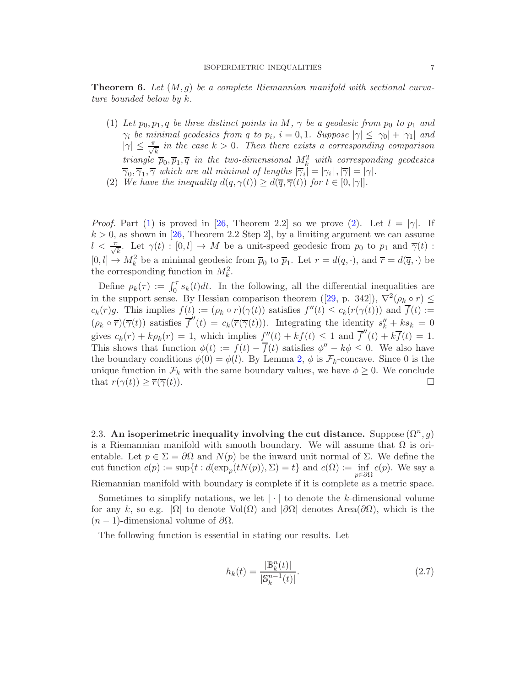<span id="page-6-0"></span>**Theorem 6.** Let  $(M, g)$  be a complete Riemannian manifold with sectional curvature bounded below by k.

- <span id="page-6-3"></span>(1) Let  $p_0, p_1, q$  be three distinct points in M,  $\gamma$  be a geodesic from  $p_0$  to  $p_1$  and  $\gamma_i$  be minimal geodesics from q to  $p_i$ ,  $i = 0, 1$ . Suppose  $|\gamma| \leq |\gamma_0| + |\gamma_1|$  and  $|\gamma| \leq \frac{\pi}{\sqrt{k}}$  in the case  $k > 0$ . Then there exists a corresponding comparison triangle  $\overline{p}_0, \overline{p}_1, \overline{q}$  in the two-dimensional  $M_k^2$  with corresponding geodesics  $\overline{\gamma}_0, \overline{\gamma}_1, \overline{\gamma}$  which are all minimal of lengths  $|\overline{\gamma}_i| = |\gamma_i|, |\overline{\gamma}| = |\gamma|.$
- <span id="page-6-2"></span>(2) We have the inequality  $d(q, \gamma(t)) \geq d(\overline{q}, \overline{\gamma}(t))$  for  $t \in [0, |\gamma|]$ .

*Proof.* Part [\(1\)](#page-6-3) is proved in [\[26,](#page-24-6) Theorem 2.2] so we prove [\(2\)](#page-6-2). Let  $l = |\gamma|$ . If  $k > 0$ , as shown in [\[26,](#page-24-6) Theorem 2.2 Step 2], by a limiting argument we can assume  $l < \frac{\pi}{\sqrt{k}}$ . Let  $\gamma(t) : [0, l] \to M$  be a unit-speed geodesic from  $p_0$  to  $p_1$  and  $\overline{\gamma}(t)$ :  $[0, l] \to M_k^2$  be a minimal geodesic from  $\overline{p}_0$  to  $\overline{p}_1$ . Let  $r = d(q, \cdot)$ , and  $\overline{r} = d(\overline{q}, \cdot)$  be the corresponding function in  $M_k^2$ .

Define  $\rho_k(\tau) := \int_0^{\tau} s_k(t) dt$ . In the following, all the differential inequalities are in the support sense. By Hessian comparison theorem ([\[29,](#page-24-5) p. 342]),  $\nabla^2(\rho_k \circ r) \leq$  $c_k(r)g$ . This implies  $f(t) := (\rho_k \circ r)(\gamma(t))$  satisfies  $f''(t) \leq c_k(r(\gamma(t)))$  and  $f(t) :=$  $(\rho_k \circ \overline{r})(\overline{\gamma}(t))$  satisfies  $\overline{f}''(t) = c_k(\overline{r}(\overline{\gamma}(t)))$ . Integrating the identity  $s_k'' + ks_k = 0$ gives  $c_k(r) + k \rho_k(r) = 1$ , which implies  $f''(t) + kf(t) \leq 1$  and  $\overline{f}''(t) + k \overline{f}(t) = 1$ . This shows that function  $\phi(t) := f(t) - f(t)$  satisfies  $\phi'' - k\phi \leq 0$ . We also have the boundary conditions  $\phi(0) = \phi(l)$ . By Lemma [2,](#page-5-4)  $\phi$  is  $\mathcal{F}_k$ -concave. Since 0 is the unique function in  $\mathcal{F}_k$  with the same boundary values, we have  $\phi \geq 0$ . We conclude that  $r(\gamma(t)) > \overline{r}(\overline{\gamma}(t))$ . that  $r(\gamma(t)) \geq \overline{r}(\overline{\gamma}(t)).$ 

<span id="page-6-1"></span>2.3. An isoperimetric inequality involving the cut distance. Suppose  $(\Omega^n, g)$ is a Riemannian manifold with smooth boundary. We will assume that  $\Omega$  is orientable. Let  $p \in \Sigma = \partial\Omega$  and  $N(p)$  be the inward unit normal of  $\Sigma$ . We define the cut function  $c(p) := \sup\{t : d(\exp_p(tN(p)), \Sigma) = t\}$  and  $c(\Omega) := \inf_{p \in \partial \Omega}$  $c(p)$ . We say a Riemannian manifold with boundary is complete if it is complete as a metric space.

Sometimes to simplify notations, we let  $|\cdot|$  to denote the k-dimensional volume for any k, so e.g.  $|\Omega|$  to denote Vol $(\Omega)$  and  $|\partial\Omega|$  denotes Area $(\partial\Omega)$ , which is the  $(n-1)$ -dimensional volume of  $\partial\Omega$ .

The following function is essential in stating our results. Let

<span id="page-6-4"></span>
$$
h_k(t) = \frac{|\mathbb{B}_k^n(t)|}{|\mathbb{S}_k^{n-1}(t)|}.
$$
\n(2.7)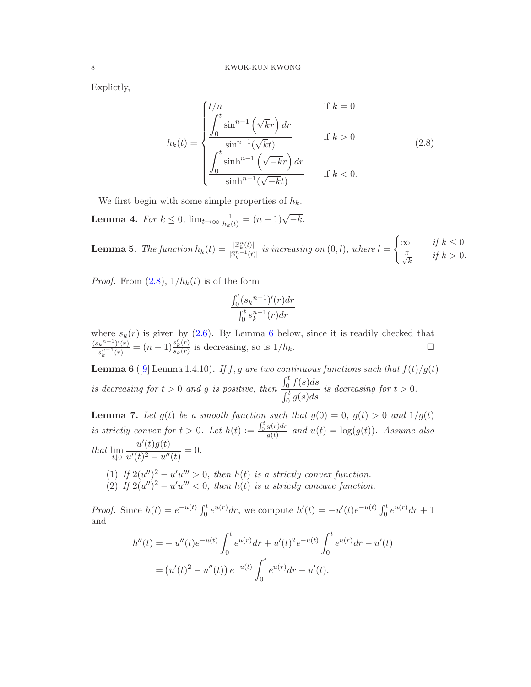Explictly,

$$
h_k(t) = \begin{cases} t/n & \text{if } k = 0\\ \frac{\displaystyle\int_0^t \sin^{n-1}(\sqrt{k}r) dr}{\sin^{n-1}(\sqrt{k}t)} & \text{if } k > 0\\ \frac{\displaystyle\int_0^t \sinh^{n-1}(\sqrt{-k}r) dr}{\sinh^{n-1}(\sqrt{-k}t)} & \text{if } k < 0. \end{cases} \tag{2.8}
$$

We first begin with some simple properties of  $h_k$ .

<span id="page-7-4"></span>**Lemma 4.** For  $k \leq 0$ ,  $\lim_{t \to \infty} \frac{1}{h_k(t)} = (n-1)\sqrt{-k}$ .

<span id="page-7-3"></span>**Lemma 5.** The function 
$$
h_k(t) = \frac{|\mathbb{B}_k^n(t)|}{|\mathbb{S}_k^{n-1}(t)|}
$$
 is increasing on  $(0, l)$ , where  $l = \begin{cases} \infty & \text{if } k \leq 0 \\ \frac{\pi}{\sqrt{k}} & \text{if } k > 0. \end{cases}$ 

*Proof.* From  $(2.8)$ ,  $1/h_k(t)$  is of the form

<span id="page-7-0"></span>
$$
\frac{\int_0^t (s_k^{n-1})'(r) dr}{\int_0^t s_k^{n-1}(r) dr}
$$

where  $s_k(r)$  is given by [\(2.6\)](#page-4-1). By Lemma [6](#page-7-1) below, since it is readily checked that  $(s_k^{n-1})'(r)$  $s_k^{n-1} {t(r) \choose s_k^{n-1}(r)} = (n-1) \frac{s'_k(r)}{s_k(r)}$  $\frac{s_k(r)}{s_k(r)}$  is decreasing, so is  $1/h_k$ .

<span id="page-7-1"></span>**Lemma 6** ([\[9\]](#page-23-3) Lemma 1.4.10). If f, g are two continuous functions such that  $f(t)/g(t)$ is decreasing for  $t > 0$  and g is positive, then  $\int_0^t f(s)ds$  $\int_0^t g(s)ds$ is decreasing for  $t > 0$ .

<span id="page-7-2"></span>**Lemma 7.** Let  $g(t)$  be a smooth function such that  $g(0) = 0$ ,  $g(t) > 0$  and  $1/g(t)$ is strictly convex for  $t > 0$ . Let  $h(t) := \frac{\int_0^t g(r) dr}{g(t)}$  $\frac{g(t)dx}{g(t)}$  and  $u(t) = \log(g(t))$ . Assume also that lim  $t\downarrow0$  $u'(t)g(t)$  $\frac{u'(t)g(t)}{u'(t)^2 - u''(t)} = 0.$ 

(1) If  $2(u'')^2 - u'u''' > 0$ , then  $h(t)$  is a strictly convex function. (2) If  $2(u'')^2 - u'u''' < 0$ , then  $h(t)$  is a strictly concave function.

*Proof.* Since  $h(t) = e^{-u(t)} \int_0^t e^{u(r)} dr$ , we compute  $h'(t) = -u'(t)e^{-u(t)} \int_0^t e^{u(r)} dr + 1$ and

$$
h''(t) = -u''(t)e^{-u(t)} \int_0^t e^{u(r)} dr + u'(t)^2 e^{-u(t)} \int_0^t e^{u(r)} dr - u'(t)
$$
  
=  $(u'(t)^2 - u''(t)) e^{-u(t)} \int_0^t e^{u(r)} dr - u'(t).$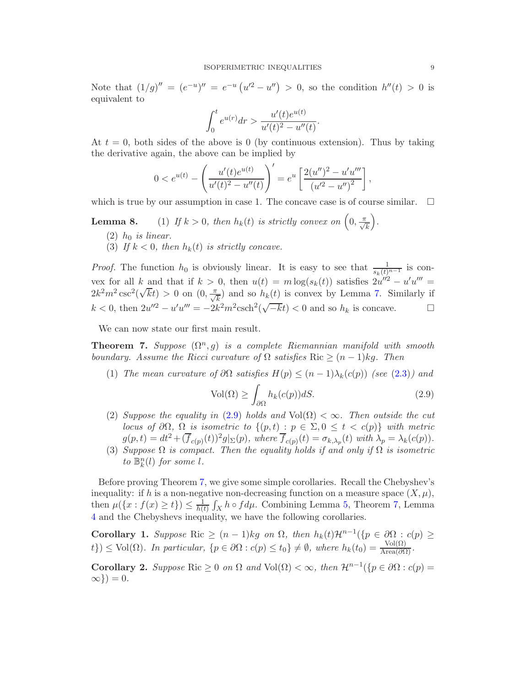Note that  $(1/g)'' = (e^{-u})'' = e^{-u} (u'^2 - u'') > 0$ , so the condition  $h''(t) > 0$  is equivalent to

$$
\int_0^t e^{u(r)} dr > \frac{u'(t)e^{u(t)}}{u'(t)^2 - u''(t)}.
$$

At  $t = 0$ , both sides of the above is 0 (by continuous extension). Thus by taking the derivative again, the above can be implied by

$$
0 < e^{u(t)} - \left(\frac{u'(t)e^{u(t)}}{u'(t)^2 - u''(t)}\right)' = e^u \left[\frac{2(u'')^2 - u'u'''}{(u'^2 - u'')^2}\right],
$$

which is true by our assumption in case 1. The concave case is of course similar.  $\Box$ 

#### **Lemma 8.** (1) If  $k > 0$ , then  $h_k(t)$  is strictly convex on  $\left(0, \frac{\pi}{\sqrt{k}}\right)$ .

- $(2)$  h<sub>0</sub> is linear.
- (3) If  $k < 0$ , then  $h_k(t)$  is strictly concave.

*Proof.* The function  $h_0$  is obviously linear. It is easy to see that  $\frac{1}{s_k(t)^{n-1}}$  is convex for all k and that if  $k > 0$ , then  $u(t) = m \log(s_k(t))$  satisfies  $2u''^2 - u'u''' =$  $2k^2m^2 \csc^2(\sqrt{kt}) > 0$  on  $(0, \frac{\pi}{\sqrt{k}})$  and so  $h_k(t)$  is convex by Lemma [7.](#page-7-2) Similarly if  $k < 0$ , then  $2u''^2 - u'u''' = -2k^2m^2 \text{csch}^2(\sqrt{-k}t) < 0$  and so  $h_k$  is concave.

We can now state our first main result.

<span id="page-8-0"></span>**Theorem 7.** Suppose  $(\Omega^n, g)$  is a complete Riemannian manifold with smooth boundary. Assume the Ricci curvature of  $\Omega$  satisfies Ric  $\geq (n-1)kg$ . Then

<span id="page-8-1"></span>(1) The mean curvature of  $\partial\Omega$  satisfies  $H(p) \leq (n-1)\lambda_k(c(p))$  (see [\(2.3\)](#page-3-4)) and

<span id="page-8-2"></span>
$$
\text{Vol}(\Omega) \ge \int_{\partial \Omega} h_k(c(p))dS. \tag{2.9}
$$

- (2) Suppose the equality in [\(2.9\)](#page-8-2) holds and  $Vol(\Omega) < \infty$ . Then outside the cut locus of  $\partial\Omega$ ,  $\Omega$  is isometric to  $\{(p,t) : p \in \Sigma, 0 \le t < c(p)\}\$  with metric  $g(p,t) = dt^2 + (\overline{f}_{c(p)}(t))^2 g|_{\Sigma}(p)$ , where  $\overline{f}_{c(p)}(t) = \sigma_{k,\lambda_p}(t)$  with  $\lambda_p = \lambda_k(c(p))$ .
- (3) Suppose  $\Omega$  is compact. Then the equality holds if and only if  $\Omega$  is isometric to  $\mathbb{B}_{k}^{n}(l)$  for some l.

Before proving Theorem [7,](#page-8-0) we give some simple corollaries. Recall the Chebyshev's inequality: if h is a non-negative non-decreasing function on a measure space  $(X, \mu)$ , then  $\mu({x : f(x) \ge t}) \le \frac{1}{h(t)}$  $\frac{1}{h(t)} \int_X h \circ f d\mu$ . Combining Lemma [5,](#page-7-3) Theorem [7,](#page-8-0) Lemma [4](#page-7-4) and the Chebyshevs inequality, we have the following corollaries.

Corollary 1. Suppose Ric  $\geq (n-1)kg$  on  $\Omega$ , then  $h_k(t)\mathcal{H}^{n-1}(\lbrace p \in \partial \Omega : c(p) \geq$  $(t\}) \leq \text{Vol}(\Omega)$ . In particular,  $\{p \in \partial\Omega : c(p) \leq t_0\} \neq \emptyset$ , where  $h_k(t_0) = \frac{\text{Vol}(\Omega)}{\text{Area}(\partial\Omega)}$ .

Corollary 2. Suppose Ric  $\geq 0$  on  $\Omega$  and  $Vol(\Omega) < \infty$ , then  $\mathcal{H}^{n-1}(\{p \in \partial \Omega : c(p) =$  $\infty$ }) = 0.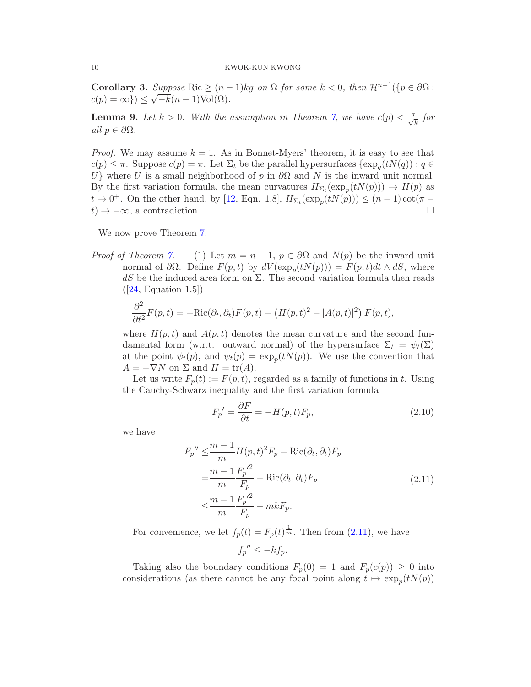Corollary 3. Suppose Ric  $\geq (n-1)kg$  on  $\Omega$  for some  $k < 0$ , then  $\mathcal{H}^{n-1}(\lbrace p \in \partial \Omega :$  $c(p) = \infty$ })  $\leq \sqrt{-k}(n-1)\text{Vol}(\Omega)$ .

<span id="page-9-1"></span>**Lemma 9.** Let  $k > 0$ . With the assumption in Theorem [7,](#page-8-0) we have  $c(p) < \frac{\pi}{\sqrt{k}}$  for all  $p \in \partial \Omega$ .

*Proof.* We may assume  $k = 1$ . As in Bonnet-Myers' theorem, it is easy to see that  $c(p) \leq \pi$ . Suppose  $c(p) = \pi$ . Let  $\Sigma_t$  be the parallel hypersurfaces  $\{\exp_q(tN(q)) : q \in$ U} where U is a small neighborhood of p in  $\partial\Omega$  and N is the inward unit normal. By the first variation formula, the mean curvatures  $H_{\Sigma_t}(\exp_p(tN(p))) \to H(p)$  as  $t \to 0^+$ . On the other hand, by [\[12,](#page-24-2) Eqn. 1.8],  $H_{\Sigma_t}(\exp_p(tN(p))) \leq (n-1)\cot(\pi$  $t) \rightarrow -\infty$ , a contradiction.

We now prove Theorem [7.](#page-8-0)

*Proof of Theorem [7.](#page-8-0)* (1) Let  $m = n - 1$ ,  $p \in \partial\Omega$  and  $N(p)$  be the inward unit normal of  $\partial\Omega$ . Define  $F(p,t)$  by  $dV(\exp_p(tN(p))) = F(p,t)dt \wedge dS$ , where  $dS$  be the induced area form on  $\Sigma$ . The second variation formula then reads  $([24, \text{ Equation } 1.5])$  $([24, \text{ Equation } 1.5])$  $([24, \text{ Equation } 1.5])$ 

$$
\frac{\partial^2}{\partial t^2}F(p,t) = -\text{Ric}(\partial_t, \partial_t)F(p,t) + \left(H(p,t)^2 - |A(p,t)|^2\right)F(p,t),
$$

where  $H(p, t)$  and  $A(p, t)$  denotes the mean curvature and the second fundamental form (w.r.t. outward normal) of the hypersurface  $\Sigma_t = \psi_t(\Sigma)$ at the point  $\psi_t(p)$ , and  $\psi_t(p) = \exp_p(tN(p))$ . We use the convention that  $A = -\nabla N$  on  $\Sigma$  and  $H = \text{tr}(A)$ .

Let us write  $F_p(t) := F(p, t)$ , regarded as a family of functions in t. Using the Cauchy-Schwarz inequality and the first variation formula

<span id="page-9-2"></span>
$$
F_p' = \frac{\partial F}{\partial t} = -H(p, t)F_p,\tag{2.10}
$$

<span id="page-9-0"></span>we have

$$
F_p'' \leq \frac{m-1}{m} H(p, t)^2 F_p - \text{Ric}(\partial_t, \partial_t) F_p
$$
  
= 
$$
\frac{m-1}{m} \frac{F_p'}{F_p} - \text{Ric}(\partial_t, \partial_t) F_p
$$
  

$$
\leq \frac{m-1}{m} \frac{F_p'}{F_p} - mkF_p.
$$
 (2.11)

For convenience, we let  $f_p(t) = F_p(t)^{\frac{1}{m}}$ . Then from [\(2.11\)](#page-9-0), we have

$$
f_p'' \leq -k f_p.
$$

Taking also the boundary conditions  $F_p(0) = 1$  and  $F_p(c(p)) \geq 0$  into considerations (as there cannot be any focal point along  $t \mapsto \exp_p(tN(p))$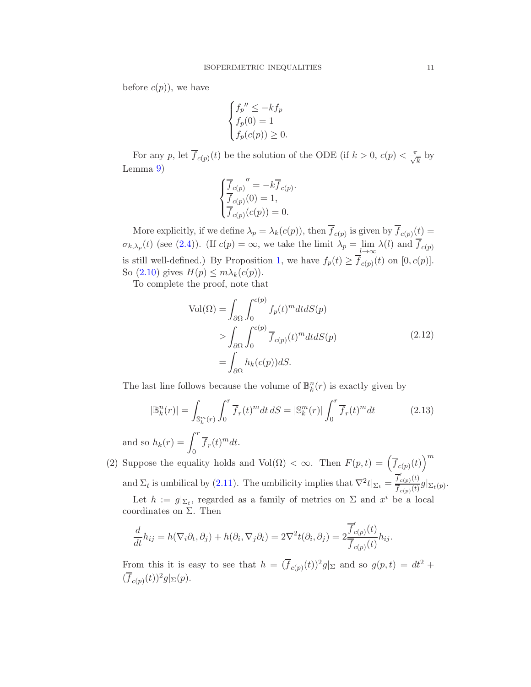before  $c(p)$ , we have

$$
\begin{cases} f_p'' \le -kf_p \\ f_p(0) = 1 \\ f_p(c(p)) \ge 0. \end{cases}
$$

For any p, let  $\overline{f}_{c(p)}(t)$  be the solution of the ODE (if  $k > 0$ ,  $c(p) < \frac{\pi}{\sqrt{k}}$  by Lemma [9\)](#page-9-1)

$$
\begin{cases} \overline{f}_{c(p)}'' = -k\overline{f}_{c(p)}\\ \overline{f}_{c(p)}(0) = 1, \\ \overline{f}_{c(p)}(c(p)) = 0. \end{cases}
$$

More explicitly, if we define  $\lambda_p = \lambda_k(c(p))$ , then  $f_{c(p)}$  is given by  $f_{c(p)}(t) =$  $\sigma_{k,\lambda_p}(t)$  (see [\(2.4\)](#page-3-5)). (If  $c(p) = \infty$ , we take the limit  $\lambda_p = \lim_{l \to \infty} \lambda(l)$  and  $f_{c(p)}$ is still well-defined.) By Proposition 1, we have  $f_p(t) \ge f_{c(p)}(t)$  on  $[0, c(p)]$ . So  $(2.10)$  gives  $H(p) \leq m \lambda_k(c(p)).$ 

To complete the proof, note that

<span id="page-10-1"></span>
$$
Vol(\Omega) = \int_{\partial \Omega} \int_0^{c(p)} f_p(t)^m dt dS(p)
$$
  
\n
$$
\geq \int_{\partial \Omega} \int_0^{c(p)} \overline{f}_{c(p)}(t)^m dt dS(p)
$$
  
\n
$$
= \int_{\partial \Omega} h_k(c(p)) dS.
$$
\n(2.12)

<span id="page-10-0"></span>The last line follows because the volume of  $\mathbb{B}_k^n(r)$  is exactly given by

$$
|\mathbb{B}_k^n(r)| = \int_{\mathbb{S}_k^m(r)} \int_0^r \overline{f}_r(t)^m dt \, dS = |\mathbb{S}_k^m(r)| \int_0^r \overline{f}_r(t)^m dt \tag{2.13}
$$

and so  $h_k(r) = \int^r$  $\int_{0}^{\pi} \overline{f}_{r}(t)^{m} dt.$ 

(2) Suppose the equality holds and Vol( $\Omega$ ) <  $\infty$ . Then  $F(p,t) = (\overline{f}_{c(p)}(t))^m$ and  $\Sigma_t$  is umbilical by [\(2.11\)](#page-9-0). The umbilicity implies that  $\nabla^2 t|_{\Sigma_t} = \frac{\overline{f}_t'}{\overline{f}_t'}$  $C_{c(p)}(t)$ 

 $\frac{\int_{c(p)}(v)}{\int_{c(p)}(t)}g|_{\Sigma_t(p)}.$ Let  $h := g|_{\Sigma_t}$ , regarded as a family of metrics on  $\Sigma$  and  $x^i$  be a local

coordinates on 
$$
\Sigma
$$
. Then

$$
\frac{d}{dt}h_{ij} = h(\nabla_i \partial_t, \partial_j) + h(\partial_i, \nabla_j \partial_t) = 2\nabla^2 t(\partial_i, \partial_j) = 2\frac{\overline{f}_{c(p)}'(t)}{\overline{f}_{c(p)}(t)}h_{ij}.
$$

From this it is easy to see that  $h = (\overline{f}_{c(p)}(t))^2 g|_{\Sigma}$  and so  $g(p, t) = dt^2 +$  $(\overline{f}_{c(p)}(t))^2 g|_{\Sigma}(p).$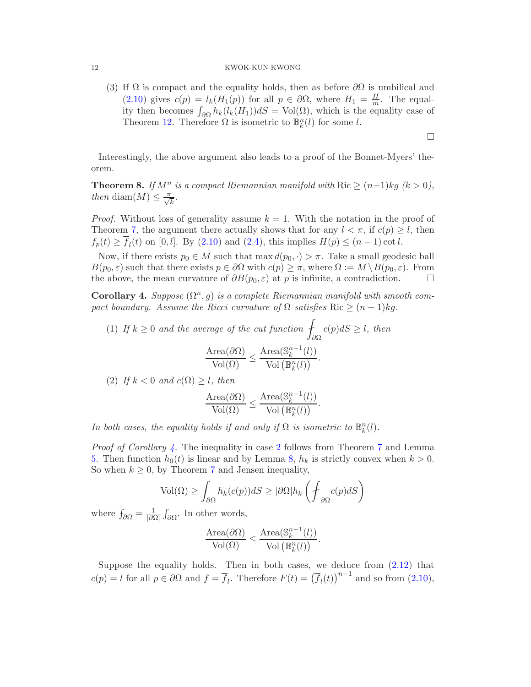(3) If  $\Omega$  is compact and the equality holds, then as before  $\partial\Omega$  is umbilical and [\(2.10\)](#page-9-2) gives  $c(p) = l_k(H_1(p))$  for all  $p \in \partial\Omega$ , where  $H_1 = \frac{H}{m}$ . The equality then becomes  $\int_{\partial\Omega} h_k(l_k(H_1))dS = \text{Vol}(\Omega)$ , which is the equality case of Theorem [12.](#page-15-0) Therefore  $\Omega$  is isometric to  $\mathbb{B}_{k}^{n}(l)$  for some l.

 $\Box$ 

Interestingly, the above argument also leads to a proof of the Bonnet-Myers' theorem.

<span id="page-11-1"></span>**Theorem 8.** If  $M^n$  is a compact Riemannian manifold with Ric  $\geq (n-1)kg$  (k > 0), then diam(M)  $\leq \frac{\pi}{\sqrt{k}}$ .

*Proof.* Without loss of generality assume  $k = 1$ . With the notation in the proof of Theorem [7,](#page-8-0) the argument there actually shows that for any  $l < \pi$ , if  $c(p) \geq l$ , then  $f_p(t) \ge f_l(t)$  on [0, l]. By [\(2.10\)](#page-9-2) and [\(2.4\)](#page-3-5), this implies  $H(p) \le (n-1) \cot l$ .

Now, if there exists  $p_0 \in M$  such that max  $d(p_0, \cdot) > \pi$ . Take a small geodesic ball  $B(p_0, \varepsilon)$  such that there exists  $p \in \partial\Omega$  with  $c(p) \geq \pi$ , where  $\Omega := M \setminus B(p_0, \varepsilon)$ . From the above, the mean curvature of  $\partial B(p_0, \varepsilon)$  at p is infinite, a contradiction. the above, the mean curvature of  $\partial B(p_0, \varepsilon)$  at p is infinite, a contradiction.

<span id="page-11-0"></span>**Corollary 4.** Suppose  $(\Omega^n, g)$  is a complete Riemannian manifold with smooth compact boundary. Assume the Ricci curvature of  $\Omega$  satisfies Ric  $\geq (n-1)kg$ .

- (1) If  $k \geq 0$  and the average of the cut function  $\int_{\partial \Omega} c(p) dS \geq l$ , then  $Area(\partial\Omega)$  $\overline{{\rm Vol}(\Omega)}$   $\leq$ Area $(\mathbb{S}_k^{n-1}(l))$  $\frac{\text{Var}(\mathcal{L}_k - \langle \cdot \rangle)}{\text{Vol}\left(\mathbb{B}_k^n(l)\right)}$ .
- <span id="page-11-2"></span>(2) If  $k < 0$  and  $c(\Omega) \geq l$ , then

$$
\frac{\text{Area}(\partial \Omega)}{\text{Vol}(\Omega)} \le \frac{\text{Area}(\mathbb{S}_k^{n-1}(l))}{\text{Vol}(\mathbb{B}_k^n(l))}.
$$

In both cases, the equality holds if and only if  $\Omega$  is isometric to  $\mathbb{B}_k^n(l)$ .

*Proof of Corollary [4.](#page-11-0)* The inequality in case [2](#page-11-2) follows from Theorem [7](#page-8-0) and Lemma [5.](#page-7-3) Then function  $h_0(t)$  is linear and by Lemma 8,  $h_k$  is strictly convex when  $k > 0$ . So when  $k \geq 0$ , by Theorem [7](#page-8-0) and Jensen inequality,

$$
\text{Vol}(\Omega) \ge \int_{\partial\Omega} h_k(c(p))dS \ge |\partial\Omega| h_k \left( \oint_{\partial\Omega} c(p) dS \right)
$$

where  $f_{\partial\Omega} = \frac{1}{|\partial\Omega|}$  $\frac{1}{|\partial\Omega|}\int_{\partial\Omega}$ . In other words,

$$
\frac{\text{Area}(\partial \Omega)}{\text{Vol}(\Omega)} \le \frac{\text{Area}(\mathbb{S}_k^{n-1}(l))}{\text{Vol}(\mathbb{B}_k^n(l))}.
$$

Suppose the equality holds. Then in both cases, we deduce from  $(2.12)$  that  $c(p) = l$  for all  $p \in \partial\Omega$  and  $f = \overline{f}_l$ . Therefore  $F(t) = (\overline{f}_l(t))^{n-1}$  and so from  $(2.10)$ ,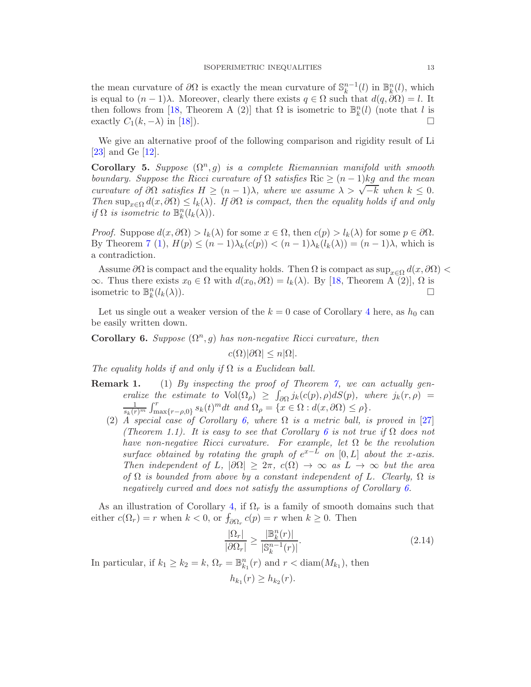the mean curvature of  $\partial\Omega$  is exactly the mean curvature of  $\mathbb{S}_k^{n-1}(l)$  in  $\mathbb{B}_k^n(l)$ , which is equal to  $(n-1)\lambda$ . Moreover, clearly there exists  $q \in \Omega$  such that  $d(q, \partial \Omega) = l$ . It then follows from [\[18,](#page-24-8) Theorem A (2)] that  $\Omega$  is isometric to  $\mathbb{B}_k^n(l)$  (note that l is exactly  $C_1(k, -\lambda)$  in [\[18\]](#page-24-8)).

We give an alternative proof of the following comparison and rigidity result of Li [\[23\]](#page-24-1) and Ge [\[12\]](#page-24-2).

<span id="page-12-0"></span>Corollary 5. Suppose  $(\Omega^n, g)$  is a complete Riemannian manifold with smooth boundary. Suppose the Ricci curvature of  $\Omega$  satisfies Ric  $\geq (n-1)$ kg and the mean curvature of  $\partial\Omega$  satisfies  $H \geq (n-1)\lambda$ , where we assume  $\lambda > \sqrt{-k}$  when  $k \leq 0$ . Then  $\sup_{x\in\Omega} d(x,\partial\Omega) \leq l_k(\lambda)$ . If  $\partial\Omega$  is compact, then the equality holds if and only if  $\Omega$  is isometric to  $\mathbb{B}_k^n(l_k(\lambda))$ .

*Proof.* Suppose  $d(x, \partial \Omega) > l_k(\lambda)$  for some  $x \in \Omega$ , then  $c(p) > l_k(\lambda)$  for some  $p \in \partial \Omega$ . By Theorem [7](#page-8-0) [\(1\)](#page-8-1),  $H(p) \leq (n-1)\lambda_k(c(p)) < (n-1)\lambda_k(l_k(\lambda)) = (n-1)\lambda$ , which is a contradiction.

Assume  $\partial\Omega$  is compact and the equality holds. Then  $\Omega$  is compact as  $\sup_{x\in\Omega}d(x,\partial\Omega)<$  $\infty$ . Thus there exists  $x_0 \in \Omega$  with  $d(x_0, \partial \Omega) = l_k(\lambda)$ . By [\[18,](#page-24-8) Theorem A (2)],  $\Omega$  is isometric to  $\mathbb{R}^n_l(l_l(\lambda))$ isometric to  $\mathbb{B}_k^n$  $(l_k(\lambda)).$ 

Let us single out a weaker version of the  $k = 0$  case of Corollary [4](#page-11-0) here, as  $h_0$  can be easily written down.

<span id="page-12-1"></span>**Corollary 6.** Suppose  $(\Omega^n, g)$  has non-negative Ricci curvature, then

 $c(\Omega)|\partial\Omega| \leq n|\Omega|$ .

The equality holds if and only if  $\Omega$  is a Euclidean ball.

- **Remark 1.** (1) By inspecting the proof of Theorem [7,](#page-8-0) we can actually generalize the estimate to  $\text{Vol}(\Omega_{\rho}) \geq \int_{\partial \Omega} j_k(c(p), \rho) dS(p)$ , where  $j_k(r, \rho) =$  $\frac{1}{s_k(r)^m} \int_{\max\{r-\rho,0\}}^r s_k(t)^m dt$  and  $\Omega_\rho = \{x \in \Omega : d(x,\partial\Omega) \leq \rho\}.$ 
	- (2) A special case of Corollary [6,](#page-12-1) where  $\Omega$  is a metric ball, is proved in [\[27\]](#page-24-9) (Theorem 1.1). It is easy to see that Corollary [6](#page-12-1) is not true if  $\Omega$  does not have non-negative Ricci curvature. For example, let  $\Omega$  be the revolution surface obtained by rotating the graph of  $e^{x-L}$  on [0, L] about the x-axis. Then independent of L,  $|\partial\Omega|\geq 2\pi$ ,  $c(\Omega)\to\infty$  as  $L\to\infty$  but the area of  $\Omega$  is bounded from above by a constant independent of L. Clearly,  $\Omega$  is negatively curved and does not satisfy the assumptions of Corollary [6.](#page-12-1)

As an illustration of Corollary [4,](#page-11-0) if  $\Omega_r$  is a family of smooth domains such that either  $c(\Omega_r) = r$  when  $k < 0$ , or  $f_{\partial \Omega_r} c(p) = r$  when  $k \ge 0$ . Then

<span id="page-12-2"></span>
$$
\frac{|\Omega_r|}{|\partial \Omega_r|} \ge \frac{|\mathbb{B}_k^n(r)|}{|\mathbb{S}_k^{n-1}(r)|}.\tag{2.14}
$$

In particular, if  $k_1 \geq k_2 = k$ ,  $\Omega_r = \mathbb{B}_{k_1}^n(r)$  and  $r <$  diam $(M_{k_1})$ , then

$$
h_{k_1}(r) \geq h_{k_2}(r).
$$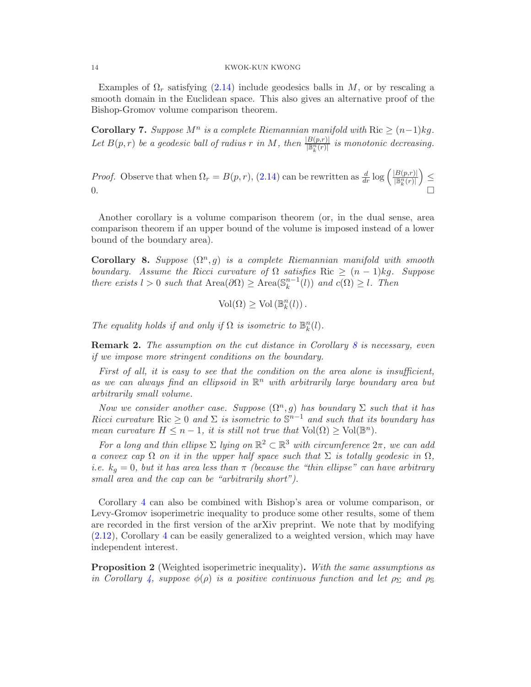Examples of  $\Omega_r$  satisfying [\(2.14\)](#page-12-2) include geodesics balls in M, or by rescaling a smooth domain in the Euclidean space. This also gives an alternative proof of the Bishop-Gromov volume comparison theorem.

<span id="page-13-0"></span>**Corollary 7.** Suppose  $M^n$  is a complete Riemannian manifold with  $Ric \ge (n-1)kg$ . Let  $B(p,r)$  be a geodesic ball of radius r in M, then  $\frac{|B(p,r)|}{\mathbb{B}_k^n(r)|}$  is monotonic decreasing.

*Proof.* Observe that when  $\Omega_r = B(p, r)$ , [\(2.14\)](#page-12-2) can be rewritten as  $\frac{d}{dr} \log \left( \frac{|B(p,r)|}{\mathbb{B}_k^n(r)} \right)$  $\Big) \leq$  $0.$ 

Another corollary is a volume comparison theorem (or, in the dual sense, area comparison theorem if an upper bound of the volume is imposed instead of a lower bound of the boundary area).

<span id="page-13-1"></span>Corollary 8. Suppose  $(\Omega^n, g)$  is a complete Riemannian manifold with smooth boundary. Assume the Ricci curvature of  $\Omega$  satisfies Ric  $\geq (n-1)kg$ . Suppose there exists  $l > 0$  such that  $Area(\partial \Omega) \geq Area(\mathbb{S}_k^{n-1}(l))$  and  $c(\Omega) \geq l$ . Then

$$
\text{Vol}(\Omega) \geq \text{Vol}(\mathbb{B}_k^n(l)).
$$

The equality holds if and only if  $\Omega$  is isometric to  $\mathbb{B}_{k}^{n}(l)$ .

**Remark 2.** The assumption on the cut distance in Corollary [8](#page-13-1) is necessary, even if we impose more stringent conditions on the boundary.

First of all, it is easy to see that the condition on the area alone is insufficient, as we can always find an ellipsoid in  $\mathbb{R}^n$  with arbitrarily large boundary area but arbitrarily small volume.

Now we consider another case. Suppose  $(\Omega^n, g)$  has boundary  $\Sigma$  such that it has Ricci curvature Ric  $\geq 0$  and  $\Sigma$  is isometric to  $\mathbb{S}^{n-1}$  and such that its boundary has mean curvature  $H \leq n - 1$ , it is still not true that  $\text{Vol}(\Omega) \geq \text{Vol}(\mathbb{B}^n)$ .

For a long and thin ellipse  $\Sigma$  lying on  $\mathbb{R}^2 \subset \mathbb{R}^3$  with circumference  $2\pi$ , we can add a convex cap  $\Omega$  on it in the upper half space such that  $\Sigma$  is totally geodesic in  $\Omega$ , i.e.  $k_q = 0$ , but it has area less than  $\pi$  (because the "thin ellipse" can have arbitrary small area and the cap can be "arbitrarily short").

Corollary [4](#page-11-0) can also be combined with Bishop's area or volume comparison, or Levy-Gromov isoperimetric inequality to produce some other results, some of them are recorded in the first version of the arXiv preprint. We note that by modifying [\(2.12\)](#page-10-0), Corollary [4](#page-11-0) can be easily generalized to a weighted version, which may have independent interest.

**Proposition 2** (Weighted isoperimetric inequality). With the same assumptions as in Corollary [4,](#page-11-0) suppose  $\phi(\rho)$  is a positive continuous function and let  $\rho_{\Sigma}$  and  $\rho_{\mathbb{S}}$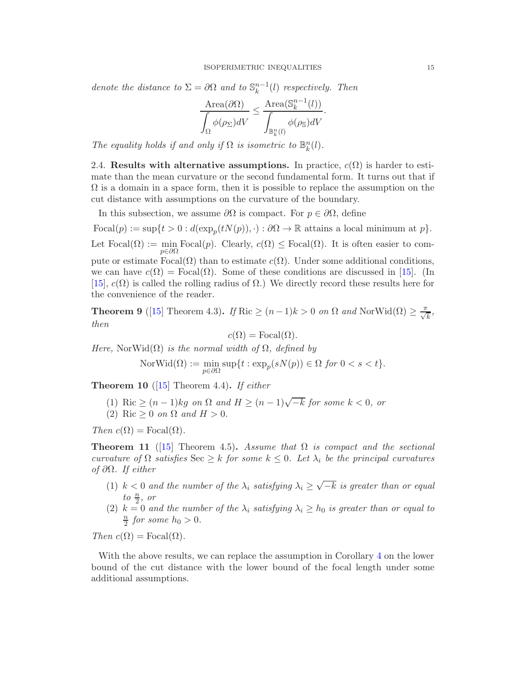denote the distance to  $\Sigma = \partial \Omega$  and to  $\mathbb{S}_k^{n-1}(l)$  respectively. Then

$$
\frac{\text{Area}(\partial \Omega)}{\displaystyle\int_\Omega \phi(\rho_\Sigma) dV} \leq \frac{\text{Area}(\mathbb{S}_k^{n-1}(l))}{\displaystyle\int_{\mathbb{B}_k^n(l)} \phi(\rho_\mathbb{S}) dV}
$$

.

<span id="page-14-0"></span>The equality holds if and only if  $\Omega$  is isometric to  $\mathbb{B}_{k}^{n}(l)$ .

2.4. Results with alternative assumptions. In practice,  $c(\Omega)$  is harder to estimate than the mean curvature or the second fundamental form. It turns out that if  $\Omega$  is a domain in a space form, then it is possible to replace the assumption on the cut distance with assumptions on the curvature of the boundary.

In this subsection, we assume  $\partial\Omega$  is compact. For  $p \in \partial\Omega$ , define

 $\text{Focal}(p) := \sup\{t > 0 : d(\exp_p(tN(p)), \cdot) : \partial\Omega \to \mathbb{R} \text{ attains a local minimum at } p\}.$ Let  $\text{Focal}(\Omega) := \min$ min Focal(p). Clearly,  $c(\Omega) \leq$  Focal( $\Omega$ ). It is often easier to compute or estimate  $Focal(\Omega)$  than to estimate  $c(\Omega)$ . Under some additional conditions, we can have  $c(\Omega) = \text{Focal}(\Omega)$ . Some of these conditions are discussed in [\[15\]](#page-24-10). (In [\[15\]](#page-24-10),  $c(\Omega)$  is called the rolling radius of  $\Omega$ .) We directly record these results here for the convenience of the reader.

<span id="page-14-1"></span>**Theorem 9** ([\[15\]](#page-24-10) Theorem 4.3). If Ric  $\geq (n-1)k > 0$  on  $\Omega$  and NorWid $(\Omega) \geq \frac{\pi}{\sqrt{k}}$ , then

$$
c(\Omega) = \text{Focal}(\Omega).
$$

Here, NorWid $(\Omega)$  is the normal width of  $\Omega$ , defined by

 $\mathrm{NorWid}(\Omega) := \min$  $\min_{p \in \partial \Omega} \sup\{t : \exp_p(sN(p)) \in \Omega \text{ for } 0 < s < t\}.$ 

<span id="page-14-2"></span>**Theorem 10** ([\[15\]](#page-24-10) Theorem 4.4). If either

(1) Ric  $\geq (n-1)kg$  on  $\Omega$  and  $H \geq (n-1)\sqrt{-k}$  for some  $k < 0$ , or

(2) Ric  $\geq 0$  on  $\Omega$  and  $H > 0$ .

Then  $c(\Omega) = \text{Focal}(\Omega)$ .

<span id="page-14-3"></span>**Theorem 11** ([\[15\]](#page-24-10) Theorem 4.5). Assume that  $\Omega$  is compact and the sectional curvature of  $\Omega$  satisfies Sec  $\geq k$  for some  $k \leq 0$ . Let  $\lambda_i$  be the principal curvatures of ∂Ω. If either

- (1)  $k < 0$  and the number of the  $\lambda_i$  satisfying  $\lambda_i \geq \sqrt{-k}$  is greater than or equal to  $\frac{n}{2}$ , or
- (2)  $k = 0$  and the number of the  $\lambda_i$  satisfying  $\lambda_i \geq h_0$  is greater than or equal to n  $\frac{n}{2}$  for some  $h_0 > 0$ .

Then  $c(\Omega) = \text{Focal}(\Omega)$ .

With the above results, we can replace the assumption in Corollary [4](#page-11-0) on the lower bound of the cut distance with the lower bound of the focal length under some additional assumptions.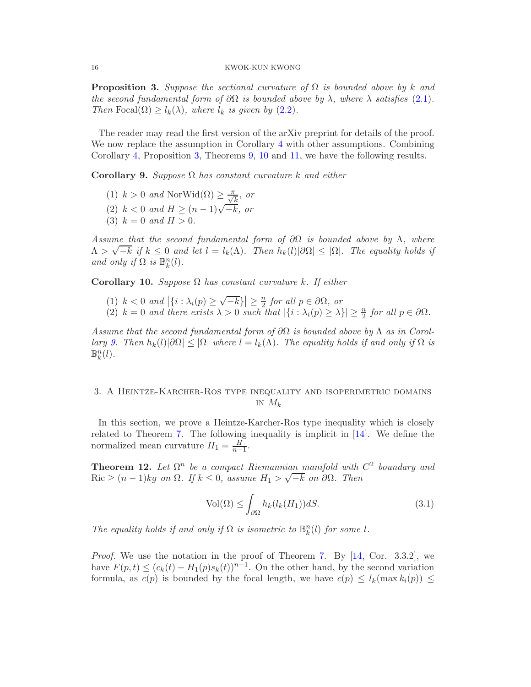<span id="page-15-2"></span>**Proposition 3.** Suppose the sectional curvature of  $\Omega$  is bounded above by k and the second fundamental form of  $\partial\Omega$  is bounded above by  $\lambda$ , where  $\lambda$  satisfies [\(2.1\)](#page-3-2). Then Focal $(\Omega) \geq l_k(\lambda)$ , where  $l_k$  is given by  $(2.2)$ .

The reader may read the first version of the arXiv preprint for details of the proof. We now replace the assumption in Corollary [4](#page-11-0) with other assumptions. Combining Corollary [4,](#page-11-0) Proposition [3,](#page-15-2) Theorems [9,](#page-14-1) [10](#page-14-2) and [11,](#page-14-3) we have the following results.

<span id="page-15-3"></span>Corollary 9. Suppose  $\Omega$  has constant curvature k and either

- (1)  $k > 0$  and NorWid( $\Omega$ )  $\geq \frac{\pi}{\sqrt{k}}$ , or
- (2)  $k < 0$  and  $H \ge (n-1)\sqrt{-k}$ , or
- (3)  $k = 0$  and  $H > 0$ .

Assume that the second fundamental form of  $\partial\Omega$  is bounded above by  $\Lambda$ , where  $\Lambda > \sqrt{-k}$  if  $k \leq 0$  and let  $l = l_k(\Lambda)$ . Then  $h_k(l)|\partial\Omega| \leq |\Omega|$ . The equality holds if and only if  $\Omega$  is  $\mathbb{B}_k^n(l)$ .

Corollary 10. Suppose  $\Omega$  has constant curvature k. If either

- (1)  $k < 0$  and  $|\{i : \lambda_i(p) \ge \sqrt{-k}\}| \ge \frac{n}{2}$  $\frac{n}{2}$  for all  $p \in \partial \Omega$ , or
- (2)  $k = 0$  and there exists  $\lambda > 0$  such that  $|\{i : \lambda_i(p) \ge \lambda\}| \ge \frac{n}{2}$  for all  $p \in \partial \Omega$ .

Assume that the second fundamental form of  $\partial\Omega$  is bounded above by  $\Lambda$  as in Corol-lary [9.](#page-15-3) Then  $h_k(l)|\partial\Omega|\leq |\Omega|$  where  $l=l_k(\Lambda)$ . The equality holds if and only if  $\Omega$  is  $\mathbb{B}_k^n(l)$ .

# <span id="page-15-1"></span>3. A Heintze-Karcher-Ros type inequality and isoperimetric domains IN  $M_k$

In this section, we prove a Heintze-Karcher-Ros type inequality which is closely related to Theorem [7.](#page-8-0) The following inequality is implicit in [\[14\]](#page-24-11). We define the normalized mean curvature  $H_1 = \frac{H}{n-1}$  $\frac{H}{n-1}$ .

<span id="page-15-0"></span>**Theorem 12.** Let  $\Omega^n$  be a compact Riemannian manifold with  $C^2$  boundary and Ric  $\geq (n-1)kg$  on  $\Omega$ . If  $k \leq 0$ , assume  $H_1 > \sqrt{-k}$  on  $\partial \Omega$ . Then

<span id="page-15-4"></span>
$$
\text{Vol}(\Omega) \le \int_{\partial \Omega} h_k(l_k(H_1)) dS. \tag{3.1}
$$

The equality holds if and only if  $\Omega$  is isometric to  $\mathbb{B}_k^n(l)$  for some l.

*Proof.* We use the notation in the proof of Theorem [7.](#page-8-0) By  $[14, \text{Cor. } 3.3.2]$ , we have  $F(p,t) \leq (c_k(t) - H_1(p)s_k(t))^{n-1}$ . On the other hand, by the second variation formula, as  $c(p)$  is bounded by the focal length, we have  $c(p) \leq l_k(\max k_i(p)) \leq$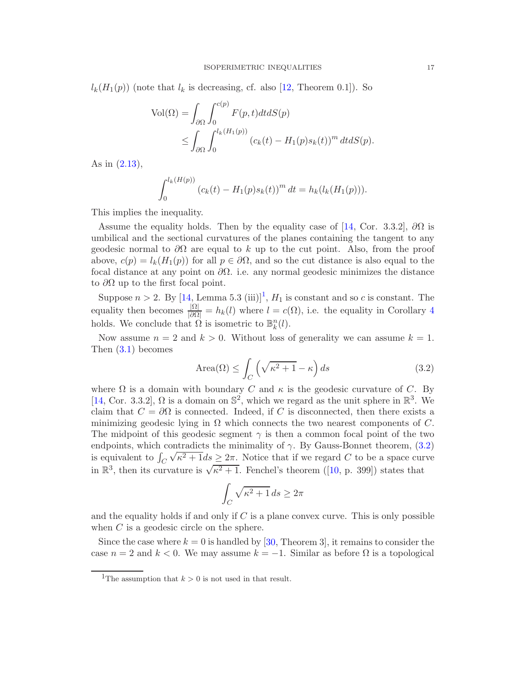$l_k(H_1(p))$  (note that  $l_k$  is decreasing, cf. also [\[12,](#page-24-2) Theorem 0.1]). So

$$
\text{Vol}(\Omega) = \int_{\partial \Omega} \int_0^{c(p)} F(p, t) dt dS(p)
$$
  
 
$$
\leq \int_{\partial \Omega} \int_0^{l_k(H_1(p))} (c_k(t) - H_1(p)s_k(t))^m dt dS(p).
$$

As in [\(2.13\)](#page-10-1),

$$
\int_0^{l_k(H(p))} (c_k(t) - H_1(p)s_k(t))^m dt = h_k(l_k(H_1(p))).
$$

This implies the inequality.

Assume the equality holds. Then by the equality case of [\[14,](#page-24-11) Cor. 3.3.2],  $\partial\Omega$  is umbilical and the sectional curvatures of the planes containing the tangent to any geodesic normal to  $\partial\Omega$  are equal to k up to the cut point. Also, from the proof above,  $c(p) = l_k(H_1(p))$  for all  $p \in \partial\Omega$ , and so the cut distance is also equal to the focal distance at any point on  $\partial\Omega$ . i.e. any normal geodesic minimizes the distance to  $\partial\Omega$  up to the first focal point.

Suppose  $n > 2$ . By  $[14, \text{Lemma } 5.3 \text{ (iii)}]^1$  $[14, \text{Lemma } 5.3 \text{ (iii)}]^1$  $[14, \text{Lemma } 5.3 \text{ (iii)}]^1$ ,  $H_1$  is constant and so c is constant. The equality then becomes  $\frac{|\Omega|}{|\partial \Omega|} = h_k(l)$  where  $l = c(\Omega)$ , i.e. the equality in Corollary [4](#page-11-0) holds. We conclude that  $\Omega$  is isometric to  $\mathbb{B}_{k}^{n}(l)$ .

Now assume  $n = 2$  and  $k > 0$ . Without loss of generality we can assume  $k = 1$ . Then [\(3.1\)](#page-15-4) becomes

<span id="page-16-1"></span>
$$
\text{Area}(\Omega) \le \int_C \left(\sqrt{\kappa^2 + 1} - \kappa\right) ds \tag{3.2}
$$

where  $\Omega$  is a domain with boundary C and  $\kappa$  is the geodesic curvature of C. By [\[14,](#page-24-11) Cor. 3.3.2],  $\Omega$  is a domain on  $\mathbb{S}^2$ , which we regard as the unit sphere in  $\mathbb{R}^3$ . We claim that  $C = \partial \Omega$  is connected. Indeed, if C is disconnected, then there exists a minimizing geodesic lying in  $\Omega$  which connects the two nearest components of C. The midpoint of this geodesic segment  $\gamma$  is then a common focal point of the two endpoints, which contradicts the minimality of  $\gamma$ . By Gauss-Bonnet theorem, [\(3.2\)](#page-16-1) is equivalent to  $\int_C$  $\sqrt{\kappa^2 + 1}$ ds  $\geq 2\pi$ . Notice that if we regard C to be a space curve in  $\mathbb{R}^3$ , then its curvature is  $\sqrt{\kappa^2+1}$ . Fenchel's theorem ([\[10,](#page-23-4) p. 399]) states that

$$
\int_C \sqrt{\kappa^2 + 1} \, ds \ge 2\pi
$$

and the equality holds if and only if  $C$  is a plane convex curve. This is only possible when C is a geodesic circle on the sphere.

Since the case where  $k = 0$  is handled by [\[30,](#page-24-12) Theorem 3], it remains to consider the case  $n = 2$  and  $k < 0$ . We may assume  $k = -1$ . Similar as before  $\Omega$  is a topological

<span id="page-16-0"></span><sup>&</sup>lt;sup>1</sup>The assumption that  $k > 0$  is not used in that result.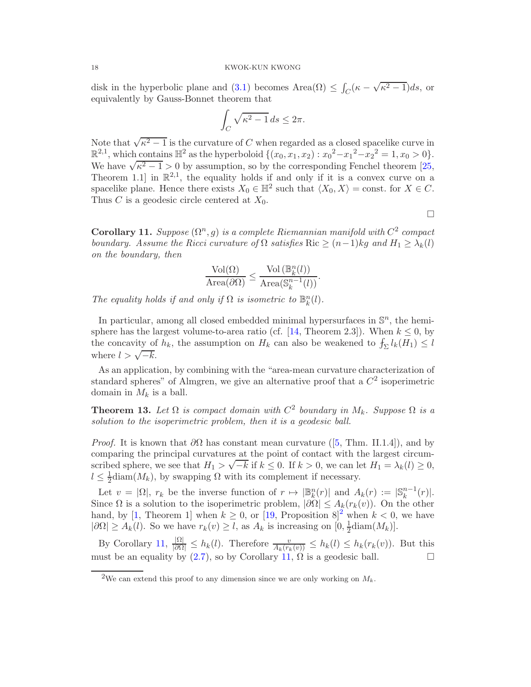disk in the hyperbolic plane and [\(3.1\)](#page-15-4) becomes Area $(\Omega) \leq \int_C (\kappa - \sqrt{\kappa^2 - 1}) ds$ , or equivalently by Gauss-Bonnet theorem that

$$
\int_C \sqrt{\kappa^2 - 1} \, ds \le 2\pi.
$$

Note that  $\sqrt{\kappa^2-1}$  is the curvature of C when regarded as a closed spacelike curve in  $\mathbb{R}^{2,1}$ , which contains  $\mathbb{H}^2$  as the hyperboloid  $\{(x_0, x_1, x_2) : x_0^2 - x_1^2 - x_2^2 = 1, x_0 > 0\}.$ We have  $\sqrt{\kappa^2 - 1} > 0$  by assumption, so by the corresponding Fenchel theorem [\[25,](#page-24-13) Theorem 1.1 in  $\mathbb{R}^{2,1}$ , the equality holds if and only if it is a convex curve on a spacelike plane. Hence there exists  $X_0 \in \mathbb{H}^2$  such that  $\langle X_0, X \rangle = \text{const.}$  for  $X \in C$ . Thus  $C$  is a geodesic circle centered at  $X_0$ .

 $\Box$ 

<span id="page-17-0"></span>**Corollary 11.** Suppose  $(\Omega^n, g)$  is a complete Riemannian manifold with  $C^2$  compact boundary. Assume the Ricci curvature of  $\Omega$  satisfies Ric  $\geq (n-1)$ kg and  $H_1 \geq \lambda_k(l)$ on the boundary, then

$$
\frac{\operatorname{Vol}(\Omega)}{\operatorname{Area}(\partial \Omega)} \le \frac{\operatorname{Vol}\left(\mathbb{B}_k^n(l)\right)}{\operatorname{Area}(\mathbb{S}_k^{n-1}(l))}.
$$

The equality holds if and only if  $\Omega$  is isometric to  $\mathbb{B}_{k}^{n}(l)$ .

In particular, among all closed embedded minimal hypersurfaces in  $\mathbb{S}^n$ , the hemi-sphere has the largest volume-to-area ratio (cf. [\[14,](#page-24-11) Theorem 2.3]). When  $k \leq 0$ , by the concavity of  $h_k$ , the assumption on  $H_k$  can also be weakened to  $f_{\Sigma} l_k(H_1) \leq l_k(H_2)$ where  $l > \sqrt{-k}$ .

As an application, by combining with the "area-mean curvature characterization of standard spheres" of Almgren, we give an alternative proof that a  $C<sup>2</sup>$  isoperimetric domain in  $M_k$  is a ball.

<span id="page-17-1"></span>**Theorem 13.** Let  $\Omega$  is compact domain with  $C^2$  boundary in  $M_k$ . Suppose  $\Omega$  is a solution to the isoperimetric problem, then it is a geodesic ball.

*Proof.* It is known that  $\partial\Omega$  has constant mean curvature ([\[5,](#page-23-5) Thm. II.1.4]), and by comparing the principal curvatures at the point of contact with the largest circumscribed sphere, we see that  $H_1 > \sqrt{-k}$  if  $k \le 0$ . If  $k > 0$ , we can let  $H_1 = \lambda_k(l) \ge 0$ ,  $l \leq \frac{1}{2}$  $\frac{1}{2}$ diam $(M_k)$ , by swapping  $\Omega$  with its complement if necessary.

Let  $v = |\Omega|$ ,  $r_k$  be the inverse function of  $r \mapsto |\mathbb{B}_k^n(r)|$  and  $A_k(r) := |\mathbb{S}_k^{n-1}(r)|$ . Since  $\Omega$  is a solution to the isoperimetric problem,  $|\partial\Omega| \leq A_k(r_k(v))$ . On the other hand, by [\[1,](#page-23-6) Theorem 1] when  $k \geq 0$ , or [\[19,](#page-24-14) Proposition 8]<sup>[2](#page-17-2)</sup> when  $k < 0$ , we have  $|\partial\Omega|\geq A_k(l)$ . So we have  $r_k(v)\geq l$ , as  $A_k$  is increasing on  $[0, \frac{1}{2}]$  $\frac{1}{2}$ diam $(M_k)$ .

By Corollary [11,](#page-17-0)  $\frac{|\Omega|}{|\partial \Omega|} \leq h_k(l)$ . Therefore  $\frac{v}{A_k(r_k(v))} \leq h_k(l) \leq h_k(r_k(v))$ . But this must be an equality by [\(2.7\)](#page-6-4), so by Corollary [11,](#page-17-0)  $\Omega$  is a geodesic ball.

<span id="page-17-2"></span><sup>&</sup>lt;sup>2</sup>We can extend this proof to any dimension since we are only working on  $M_k$ .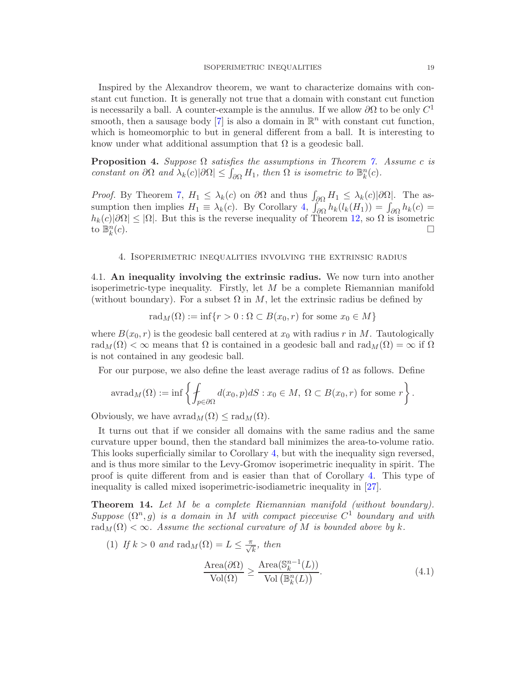Inspired by the Alexandrov theorem, we want to characterize domains with constant cut function. It is generally not true that a domain with constant cut function is necessarily a ball. A counter-example is the annulus. If we allow  $\partial\Omega$  to be only  $C^1$ smooth, then a sausage body [\[7\]](#page-23-7) is also a domain in  $\mathbb{R}^n$  with constant cut function, which is homeomorphic to but in general different from a ball. It is interesting to know under what additional assumption that  $\Omega$  is a geodesic ball.

**Proposition 4.** Suppose  $\Omega$  satisfies the assumptions in Theorem [7.](#page-8-0) Assume c is constant on  $\partial\Omega$  and  $\lambda_k(c)|\partial\Omega| \leq \int_{\partial\Omega} H_1$ , then  $\Omega$  is isometric to  $\mathbb{B}_k^n(c)$ .

*Proof.* By Theorem [7,](#page-8-0)  $H_1 \leq \lambda_k(c)$  on  $\partial\Omega$  and thus  $\int_{\partial\Omega} H_1 \leq \lambda_k(c) |\partial\Omega|$ . The assumption then implies  $H_1 \equiv \lambda_k(c)$ . By Corollary  $4$ ,  $\int_{\partial\Omega} h_k(l_k(H_1)) = \int_{\partial\Omega} h_k(c)$  $h_k(c)|\partial\Omega| \leq |\Omega|$ . But this is the reverse inequality of Theorem [12,](#page-15-0) so  $\Omega$  is isometric to  $\mathbb{R}^n(c)$ to  $\mathbb{B}_k^n$  $(c).$ 

#### 4. Isoperimetric inequalities involving the extrinsic radius

<span id="page-18-1"></span>4.1. An inequality involving the extrinsic radius. We now turn into another isoperimetric-type inequality. Firstly, let M be a complete Riemannian manifold (without boundary). For a subset  $\Omega$  in M, let the extrinsic radius be defined by

$$
rad_M(\Omega) := \inf\{r > 0 : \Omega \subset B(x_0, r) \text{ for some } x_0 \in M\}
$$

where  $B(x_0, r)$  is the geodesic ball centered at  $x_0$  with radius r in M. Tautologically rad $_M(\Omega) < \infty$  means that  $\Omega$  is contained in a geodesic ball and rad $_M(\Omega) = \infty$  if  $\Omega$ is not contained in any geodesic ball.

For our purpose, we also define the least average radius of  $\Omega$  as follows. Define

$$
\mathrm{avrad}_M(\Omega) := \inf \left\{ \int_{p \in \partial \Omega} d(x_0, p) dS : x_0 \in M, \ \Omega \subset B(x_0, r) \text{ for some } r \right\}.
$$

Obviously, we have  $\mathrm{avarad}_M(\Omega) \leq \mathrm{rad}_M(\Omega)$ .

It turns out that if we consider all domains with the same radius and the same curvature upper bound, then the standard ball minimizes the area-to-volume ratio. This looks superficially similar to Corollary [4,](#page-11-0) but with the inequality sign reversed, and is thus more similar to the Levy-Gromov isoperimetric inequality in spirit. The proof is quite different from and is easier than that of Corollary [4.](#page-11-0) This type of inequality is called mixed isoperimetric-isodiametric inequality in [\[27\]](#page-24-9).

<span id="page-18-0"></span>Theorem 14. Let M be a complete Riemannian manifold (without boundary). Suppose  $(\Omega^n, g)$  is a domain in M with compact piecewise  $C^1$  boundary and with rad<sub>M</sub>( $\Omega$ ) <  $\infty$ . Assume the sectional curvature of M is bounded above by k.

<span id="page-18-2"></span>(1) If 
$$
k > 0
$$
 and  $\text{rad}_M(\Omega) = L \le \frac{\pi}{\sqrt{k}}$ , then  
\n
$$
\frac{\text{Area}(\partial \Omega)}{\text{Vol}(\Omega)} \ge \frac{\text{Area}(\mathbb{S}_k^{n-1}(L))}{\text{Vol}(\mathbb{B}_k^n(L))}.
$$
\n(4.1)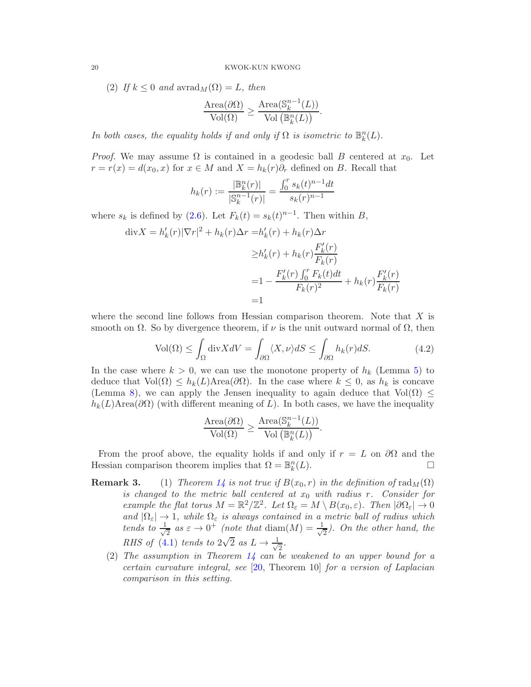(2) If  $k \leq 0$  and  $\mathrm{avrad}_M(\Omega) = L$ , then

$$
\frac{\text{Area}(\partial \Omega)}{\text{Vol}(\Omega)} \ge \frac{\text{Area}(\mathbb{S}_k^{n-1}(L))}{\text{Vol}(\mathbb{B}_k^n(L))}.
$$

In both cases, the equality holds if and only if  $\Omega$  is isometric to  $\mathbb{B}_k^n(L)$ .

*Proof.* We may assume  $\Omega$  is contained in a geodesic ball B centered at  $x_0$ . Let  $r = r(x) = d(x_0, x)$  for  $x \in M$  and  $X = h_k(r)\partial_r$  defined on B. Recall that

$$
h_k(r) := \frac{|\mathbb{B}_k^n(r)|}{|\mathbb{S}_k^{n-1}(r)|} = \frac{\int_0^r s_k(t)^{n-1} dt}{s_k(r)^{n-1}}
$$

where  $s_k$  is defined by [\(2.6\)](#page-4-1). Let  $F_k(t) = s_k(t)^{n-1}$ . Then within B,

$$
\begin{aligned} \text{div}X &= h'_k(r)|\nabla r|^2 + h_k(r)\Delta r = & h'_k(r) + h_k(r)\Delta r \\ &\geq & h'_k(r) + h_k(r)\frac{F'_k(r)}{F_k(r)} \\ &= & 1 - \frac{F'_k(r)\int_0^r F_k(t)dt}{F_k(r)^2} + h_k(r)\frac{F'_k(r)}{F_k(r)} \\ &= & 1 \end{aligned}
$$

where the second line follows from Hessian comparison theorem. Note that  $X$  is smooth on  $\Omega$ . So by divergence theorem, if  $\nu$  is the unit outward normal of  $\Omega$ , then

$$
\text{Vol}(\Omega) \le \int_{\Omega} \text{div} X dV = \int_{\partial \Omega} \langle X, \nu \rangle dS \le \int_{\partial \Omega} h_k(r) dS. \tag{4.2}
$$

<span id="page-19-0"></span>In the case where  $k > 0$ , we can use the monotone property of  $h_k$  (Lemma [5\)](#page-7-3) to deduce that  $Vol(\Omega) \leq h_k(L)$ Area $(\partial \Omega)$ . In the case where  $k \leq 0$ , as  $h_k$  is concave (Lemma 8), we can apply the Jensen inequality to again deduce that  $Vol(\Omega) \leq$  $h_k(L)$ Area( $\partial\Omega$ ) (with different meaning of L). In both cases, we have the inequality

$$
\frac{\text{Area}(\partial \Omega)}{\text{Vol}(\Omega)} \ge \frac{\text{Area}(\mathbb{S}_k^{n-1}(L))}{\text{Vol}\left(\mathbb{B}_k^n(L)\right)}.
$$

From the proof above, the equality holds if and only if  $r = L$  on  $\partial\Omega$  and the Hessian comparison theorem implies that  $\Omega = \mathbb{B}_k^n$  $(L).$ 

- **Remark 3.** (1) Theorem [14](#page-18-0) is not true if  $B(x_0, r)$  in the definition of  $\text{rad}_M(\Omega)$ is changed to the metric ball centered at  $x_0$  with radius r. Consider for example the flat torus  $M = \mathbb{R}^2/\mathbb{Z}^2$ . Let  $\Omega_{\varepsilon} = M \setminus B(x_0, \varepsilon)$ . Then  $|\partial \Omega_{\varepsilon}| \to 0$ and  $|\Omega_{\varepsilon}| \to 1$ , while  $\Omega_{\varepsilon}$  is always contained in a metric ball of radius which tends to  $\frac{1}{\sqrt{2}}$  $\frac{1}{2}$  as  $\varepsilon \to 0^+$  (note that diam(M) =  $\frac{1}{\sqrt{2}}$  $\frac{1}{2}$ ). On the other hand, the RHS of [\(4.1\)](#page-18-2) tends to  $2\sqrt{2}$  as  $L \rightarrow \frac{1}{\sqrt{2}}$  $\frac{1}{2}$ .
	- (2) The assumption in Theorem  $1/4$  can be weakened to an upper bound for a certain curvature integral, see [\[20,](#page-24-15) Theorem 10] for a version of Laplacian comparison in this setting.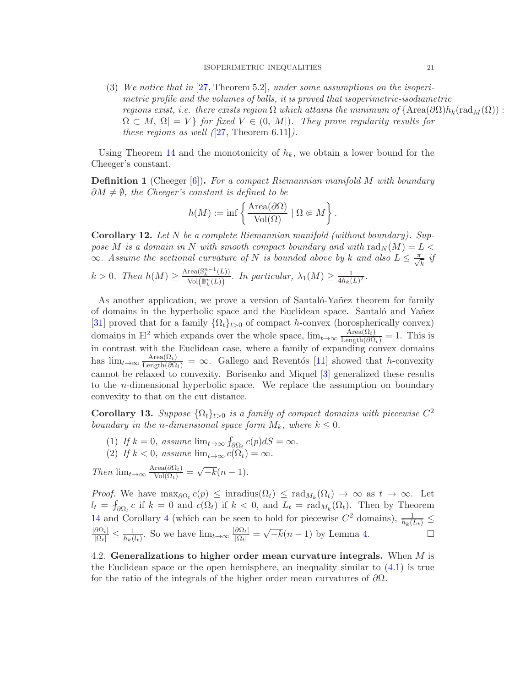(3) We notice that in [\[27,](#page-24-9) Theorem 5.2], under some assumptions on the isoperimetric profile and the volumes of balls, it is proved that isoperimetric-isodiametric regions exist, i.e. there exists region  $\Omega$  which attains the minimum of  $\{\text{Area}(\partial\Omega)h_k(\text{rad}_M(\Omega))$ :  $\Omega \subset M, |\Omega| = V$  for fixed  $V \in (0, |M|)$ . They prove regularity results for these regions as well  $(27,$  Theorem 6.11]).

Using Theorem [14](#page-18-0) and the monotonicity of  $h_k$ , we obtain a lower bound for the Cheeger's constant.

**Definition 1** (Cheeger  $[6]$ ). For a compact Riemannian manifold M with boundary  $\partial M \neq \emptyset$ , the Cheeger's constant is defined to be

$$
h(M) := \inf \left\{ \frac{\text{Area}(\partial \Omega)}{\text{Vol}(\Omega)} \mid \Omega \Subset M \right\}.
$$

<span id="page-20-0"></span>Corollary 12. Let N be a complete Riemannian manifold (without boundary). Suppose M is a domain in N with smooth compact boundary and with  $\text{rad}_N(M) = L$  $\infty$ . Assume the sectional curvature of N is bounded above by k and also  $L \leq \frac{\pi}{\sqrt{k}}$  if

$$
k > 0. \text{ Then } h(M) \geq \frac{\text{Area}(\mathbb{S}_k^{n-1}(L))}{\text{Vol}(\mathbb{B}_k^n(L))}. \text{ In particular, } \lambda_1(M) \geq \frac{1}{4h_k(L)^2}.
$$

As another application, we prove a version of Santaló-Yañez theorem for family of domains in the hyperbolic space and the Euclidean space. Santalo and Yañez [\[31\]](#page-24-3) proved that for a family  $\{\Omega_t\}_{t>0}$  of compact h-convex (horospherically convex) domains in  $\mathbb{H}^2$  which expands over the whole space,  $\lim_{t\to\infty} \frac{\text{Area}(\Omega_t)}{\text{Length}(\partial\Omega_t)} = 1$ . This is in contrast with the Euclidean case, where a family of expanding convex domains has  $\lim_{t\to\infty} \frac{\text{Area}(\Omega_t)}{\text{Length}(\partial\Omega)}$  $= \infty$ . Gallego and Reventós [\[11\]](#page-24-16) showed that h-convexity cannot be relaxed to convexity. Borisenko and Miquel [\[3\]](#page-23-9) generalized these results to the n-dimensional hyperbolic space. We replace the assumption on boundary convexity to that on the cut distance.

<span id="page-20-1"></span>**Corollary 13.** Suppose  $\{\Omega_t\}_{t>0}$  is a family of compact domains with piecewise  $C^2$ boundary in the n-dimensional space form  $M_k$ , where  $k \leq 0$ .

- (1) If  $k = 0$ , assume  $\lim_{t \to \infty} \int_{\partial \Omega_t} c(p) dS = \infty$ .
- (2) If  $k < 0$ , assume  $\lim_{t \to \infty} c(\Omega_t) = \infty$ .

Then  $\lim_{t\to\infty} \frac{\text{Area}(\partial \Omega_t)}{\text{Vol}(\Omega_t)} = \sqrt{-k}(n-1).$ 

Proof. We have  $\max_{\partial \Omega_t} c(p) \le \text{inradius}(\Omega_t) \le \text{rad}_{M_k}(\Omega_t) \to \infty$  as  $t \to \infty$ . Let  $l_t = f_{\partial \Omega_t} c$  if  $k = 0$  and  $c(\Omega_t)$  if  $k < 0$ , and  $L_t = \text{rad}_{M_k}(\Omega_t)$ . Then by Theorem [14](#page-18-0) and Corollary [4](#page-11-0) (which can be seen to hold for piecewise  $C^2$  domains),  $\frac{1}{h_k(L_t)} \leq$  $\frac{|\partial\Omega_t|}{|\Omega_t|}\leq \frac{1}{h_k(1)}$  $\frac{1}{h_k(l_t)}$ . So we have  $\lim_{t\to\infty} \frac{|\partial\Omega_t|}{|\Omega_t|} = \sqrt{-k}(n-1)$  by Lemma [4.](#page-7-4)

<span id="page-20-2"></span>4.2. Generalizations to higher order mean curvature integrals. When  $M$  is the Euclidean space or the open hemisphere, an inequality similar to  $(4.1)$  is true for the ratio of the integrals of the higher order mean curvatures of  $\partial\Omega$ .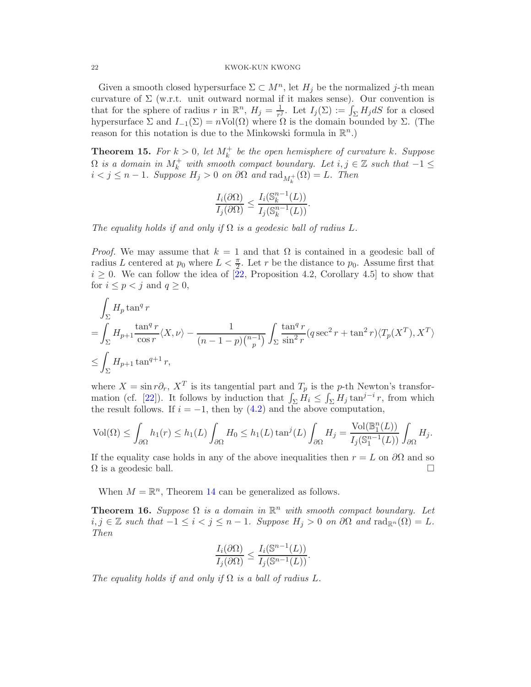Given a smooth closed hypersurface  $\Sigma \subset M^n$ , let  $H_j$  be the normalized j-th mean curvature of  $\Sigma$  (w.r.t. unit outward normal if it makes sense). Our convention is that for the sphere of radius r in  $\mathbb{R}^n$ ,  $H_j = \frac{1}{r^j}$  $\frac{1}{r^j}$ . Let  $I_j(\Sigma) := \int_{\Sigma} H_j dS$  for a closed hypersurface  $\Sigma$  and  $I_{-1}(\Sigma) = n \text{Vol}(\Omega)$  where  $\Omega$  is the domain bounded by  $\Sigma$ . (The reason for this notation is due to the Minkowski formula in  $\mathbb{R}^n$ .)

**Theorem 15.** For  $k > 0$ , let  $M_k^+$  be the open hemisphere of curvature k. Suppose  $\Omega$  is a domain in  $M_k^+$  with smooth compact boundary. Let  $i, j \in \mathbb{Z}$  such that  $-1 \leq$  $i < j \leq n-1$ . Suppose  $H_j > 0$  on  $\partial\Omega$  and  $\text{rad}_{M_k^+}(\Omega) = L$ . Then

$$
\frac{I_i(\partial\Omega)}{I_j(\partial\Omega)} \le \frac{I_i(\mathbb{S}_k^{n-1}(L))}{I_j(\mathbb{S}_k^{n-1}(L))}.
$$

The equality holds if and only if  $\Omega$  is a geodesic ball of radius L.

*Proof.* We may assume that  $k = 1$  and that  $\Omega$  is contained in a geodesic ball of radius L centered at  $p_0$  where  $L < \frac{\pi}{2}$ . Let r be the distance to  $p_0$ . Assume first that  $i \geq 0$ . We can follow the idea of  $[22,$  Proposition 4.2, Corollary 4.5 to show that for  $i \leq p < j$  and  $q \geq 0$ ,

$$
\int_{\Sigma} H_p \tan^q r
$$
\n
$$
= \int_{\Sigma} H_{p+1} \frac{\tan^q r}{\cos r} \langle X, \nu \rangle - \frac{1}{(n-1-p) {n-1 \choose p}} \int_{\Sigma} \frac{\tan^q r}{\sin^2 r} (q \sec^2 r + \tan^2 r) \langle T_p(X^T), X^T \rangle
$$
\n
$$
\leq \int_{\Sigma} H_{p+1} \tan^{q+1} r,
$$

where  $X = \sin r \partial_r$ ,  $X^T$  is its tangential part and  $T_p$  is the p-th Newton's transfor-mation (cf. [\[22\]](#page-24-17)). It follows by induction that  $\int_{\Sigma} H_i \leq \int_{\Sigma} H_j \tan^{j-i} r$ , from which the result follows. If  $i = -1$ , then by  $(4.2)$  and the above computation,

$$
\text{Vol}(\Omega) \le \int_{\partial\Omega} h_1(r) \le h_1(L) \int_{\partial\Omega} H_0 \le h_1(L) \tan^j(L) \int_{\partial\Omega} H_j = \frac{\text{Vol}(\mathbb{B}^n_1(L))}{I_j(\mathbb{S}^{n-1}_1(L))} \int_{\partial\Omega} H_j.
$$

If the equality case holds in any of the above inequalities then  $r = L$  on  $\partial\Omega$  and so  $\Omega$  is a geodesic ball.

When  $M = \mathbb{R}^n$ , Theorem [14](#page-18-0) can be generalized as follows.

**Theorem 16.** Suppose  $\Omega$  is a domain in  $\mathbb{R}^n$  with smooth compact boundary. Let i, j ∈ Z such that  $-1 \le i < j \le n-1$ . Suppose  $H_j > 0$  on  $\partial\Omega$  and  $\text{rad}_{\mathbb{R}^n}(\Omega) = L$ . Then

$$
\frac{I_i(\partial\Omega)}{I_j(\partial\Omega)} \le \frac{I_i(\mathbb{S}^{n-1}(L))}{I_j(\mathbb{S}^{n-1}(L))}.
$$

The equality holds if and only if  $\Omega$  is a ball of radius L.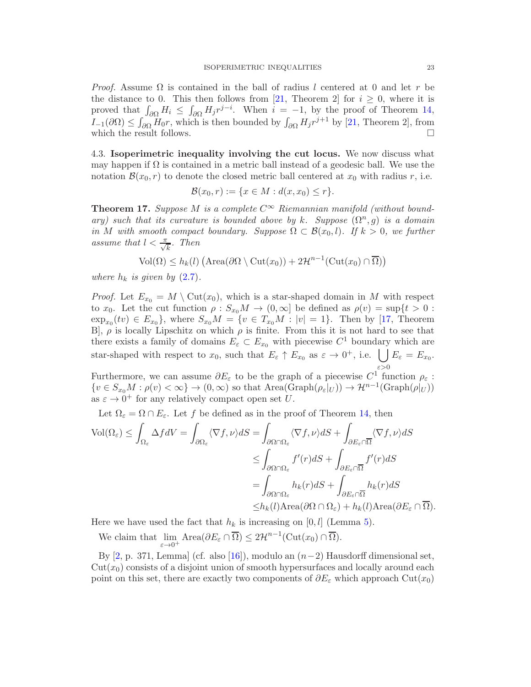*Proof.* Assume  $\Omega$  is contained in the ball of radius l centered at 0 and let r be the distance to 0. This then follows from [\[21,](#page-24-18) Theorem 2] for  $i \geq 0$ , where it is proved that  $\int_{\partial\Omega} H_i \leq \int_{\partial\Omega} H_j r^{j-i}$ . When  $i = -1$ , by the proof of Theorem [14,](#page-18-0)  $I_{-1}(\partial\Omega) \leq \int_{\partial\Omega} H_0 r$ , which is then bounded by  $\int_{\partial\Omega} H_j r^{j+1}$  by [\[21,](#page-24-18) Theorem 2], from which the result follows.  $\hfill \square$ 

<span id="page-22-0"></span>4.3. Isoperimetric inequality involving the cut locus. We now discuss what may happen if  $\Omega$  is contained in a metric ball instead of a geodesic ball. We use the notation  $\mathcal{B}(x_0, r)$  to denote the closed metric ball centered at  $x_0$  with radius r, i.e.

$$
\mathcal{B}(x_0,r):=\{x\in M:d(x,x_0)\leq r\}.
$$

<span id="page-22-1"></span>**Theorem 17.** Suppose M is a complete  $C^{\infty}$  Riemannian manifold (without boundary) such that its curvature is bounded above by k. Suppose  $(\Omega^n, g)$  is a domain in M with smooth compact boundary. Suppose  $\Omega \subset \mathcal{B}(x_0,l)$ . If  $k > 0$ , we further assume that  $l < \frac{\pi}{\sqrt{k}}$ . Then

$$
\text{Vol}(\Omega) \le h_k(l) \left( \text{Area}(\partial \Omega \setminus \text{Cut}(x_0)) + 2\mathcal{H}^{n-1}(\text{Cut}(x_0) \cap \overline{\Omega}) \right)
$$

where  $h_k$  is given by  $(2.7)$ .

*Proof.* Let  $E_{x_0} = M \setminus \text{Cut}(x_0)$ , which is a star-shaped domain in M with respect to  $x_0$ . Let the cut function  $\rho : S_{x_0}M \to (0,\infty]$  be defined as  $\rho(v) = \sup\{t > 0 :$  $\exp_{x_0}(tv) \in E_{x_0}$ , where  $S_{x_0}M = \{v \in T_{x_0}M : |v| = 1\}$ . Then by [\[17,](#page-24-19) Theorem B,  $\rho$  is locally Lipschitz on which  $\rho$  is finite. From this it is not hard to see that there exists a family of domains  $E_{\varepsilon} \subset E_{x_0}$  with piecewise  $C^1$  boundary which are star-shaped with respect to  $x_0$ , such that  $E_\varepsilon \uparrow E_{x_0}$  as  $\varepsilon \to 0^+$ , i.e.  $\bigcup E_\varepsilon = E_{x_0}$ .  $\varepsilon$ >0

Furthermore, we can assume  $\partial E_{\varepsilon}$  to be the graph of a piecewise  $C^1$  function  $\rho_{\varepsilon}$ :  ${v \in S_{x_0}M : \rho(v) < \infty} \rightarrow (0, \infty)$  so that  $Area(Graph(\rho_{\varepsilon}|_{U})) \rightarrow \mathcal{H}^{n-1}(Graph(\rho|_{U}))$ as  $\varepsilon \to 0^+$  for any relatively compact open set U.

Let  $\Omega_{\varepsilon} = \Omega \cap E_{\varepsilon}$ . Let f be defined as in the proof of Theorem [14,](#page-18-0) then

$$
\begin{split} \text{Vol}(\Omega_{\varepsilon}) \leq \int_{\Omega_{\varepsilon}} \Delta f dV &= \int_{\partial \Omega_{\varepsilon}} \langle \nabla f, \nu \rangle dS = \int_{\partial \Omega \cap \Omega_{\varepsilon}} \langle \nabla f, \nu \rangle dS + \int_{\partial E_{\varepsilon} \cap \overline{\Omega}} \langle \nabla f, \nu \rangle dS \\ &\leq \int_{\partial \Omega \cap \Omega_{\varepsilon}} f'(r) dS + \int_{\partial E_{\varepsilon} \cap \overline{\Omega}} f'(r) dS \\ &= \int_{\partial \Omega \cap \Omega_{\varepsilon}} h_k(r) dS + \int_{\partial E_{\varepsilon} \cap \overline{\Omega}} h_k(r) dS \\ &\leq h_k(l) \text{Area}(\partial \Omega \cap \Omega_{\varepsilon}) + h_k(l) \text{Area}(\partial E_{\varepsilon} \cap \overline{\Omega}). \end{split}
$$

Here we have used the fact that  $h_k$  is increasing on [0, l] (Lemma [5\)](#page-7-3).

We claim that lim  $\lim_{\varepsilon \to 0^+} \text{Area}(\partial E_{\varepsilon} \cap \overline{\Omega}) \leq 2\mathcal{H}^{n-1}(\text{Cut}(x_0) \cap \overline{\Omega}).$ 

By [\[2,](#page-23-10) p. 371, Lemma] (cf. also [\[16\]](#page-24-20)), modulo an  $(n-2)$  Hausdorff dimensional set,  $Cut(x_0)$  consists of a disjoint union of smooth hypersurfaces and locally around each point on this set, there are exactly two components of  $\partial E_{\varepsilon}$  which approach Cut(x<sub>0</sub>)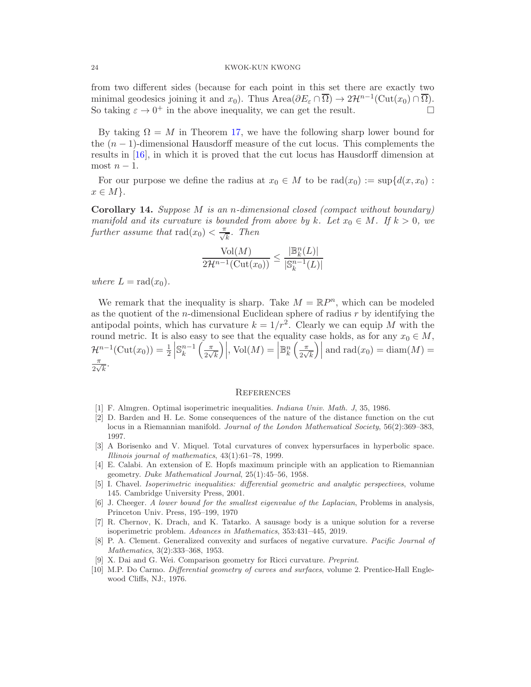from two different sides (because for each point in this set there are exactly two minimal geodesics joining it and  $x_0$ ). Thus Area $(\partial E_{\varepsilon} \cap \overline{\Omega}) \to 2\mathcal{H}^{n-1}(\mathrm{Cut}(x_0) \cap \overline{\Omega})$ . So taking  $\varepsilon \to 0^+$  in the above inequality, we can get the result.

By taking  $\Omega = M$  in Theorem [17,](#page-22-1) we have the following sharp lower bound for the  $(n-1)$ -dimensional Hausdorff measure of the cut locus. This complements the results in [\[16\]](#page-24-20), in which it is proved that the cut locus has Hausdorff dimension at most  $n-1$ .

For our purpose we define the radius at  $x_0 \in M$  to be rad $(x_0) := \sup\{d(x, x_0) :$  $x \in M$ .

<span id="page-23-0"></span>Corollary 14. Suppose M is an n-dimensional closed (compact without boundary) manifold and its curvature is bounded from above by k. Let  $x_0 \in M$ . If  $k > 0$ , we further assume that  $\text{rad}(x_0) < \frac{\pi}{\sqrt{k}}$ . Then

$$
\frac{\text{Vol}(M)}{2\mathcal{H}^{n-1}(\text{Cut}(x_0))} \le \frac{|\mathbb{B}_k^n(L)|}{|\mathbb{S}_k^{n-1}(L)|}
$$

where  $L = rad(x_0)$ .

We remark that the inequality is sharp. Take  $M = \mathbb{R}P^n$ , which can be modeled as the quotient of the  $n$ -dimensional Euclidean sphere of radius  $r$  by identifying the antipodal points, which has curvature  $k = 1/r^2$ . Clearly we can equip M with the round metric. It is also easy to see that the equality case holds, as for any  $x_0 \in M$ ,  $\mathcal{H}^{n-1}(\mathrm{Cut}(x_0)) = \frac{1}{2}$  $\mathbb{S}_{k}^{n-1}\left(\frac{\pi}{2\sqrt{k}}\right)$  $\sqrt{\frac{1}{k}}$  $\Big)$ , Vol $(M) =$  $\mathbb{B}^n_k\left(\frac{\pi}{2\sqrt{n}}\right)$  $\sqrt{\frac{1}{k}}$  $\Big|\Big|$  and rad $(x_0) = \text{diam}(M) =$ π  $\frac{\pi}{2\sqrt{k}}$ .

#### **REFERENCES**

- <span id="page-23-10"></span><span id="page-23-6"></span>[1] F. Almgren. Optimal isoperimetric inequalities. Indiana Univ. Math. J, 35, 1986.
- [2] D. Barden and H. Le. Some consequences of the nature of the distance function on the cut locus in a Riemannian manifold. Journal of the London Mathematical Society, 56(2):369–383, 1997.
- <span id="page-23-9"></span>[3] A Borisenko and V. Miquel. Total curvatures of convex hypersurfaces in hyperbolic space. Illinois journal of mathematics, 43(1):61–78, 1999.
- <span id="page-23-2"></span>[4] E. Calabi. An extension of E. Hopfs maximum principle with an application to Riemannian geometry. Duke Mathematical Journal, 25(1):45–56, 1958.
- <span id="page-23-5"></span>[5] I. Chavel. Isoperimetric inequalities: differential geometric and analytic perspectives, volume 145. Cambridge University Press, 2001.
- <span id="page-23-8"></span>[6] J. Cheeger. A lower bound for the smallest eigenvalue of the Laplacian, Problems in analysis, Princeton Univ. Press, 195–199, 1970
- <span id="page-23-7"></span>[7] R. Chernov, K. Drach, and K. Tatarko. A sausage body is a unique solution for a reverse isoperimetric problem. Advances in Mathematics, 353:431–445, 2019.
- <span id="page-23-1"></span>[8] P. A. Clement. Generalized convexity and surfaces of negative curvature. Pacific Journal of Mathematics, 3(2):333–368, 1953.
- <span id="page-23-4"></span><span id="page-23-3"></span>[9] X. Dai and G. Wei. Comparison geometry for Ricci curvature. Preprint.
- [10] M.P. Do Carmo. Differential geometry of curves and surfaces, volume 2. Prentice-Hall Englewood Cliffs, NJ:, 1976.